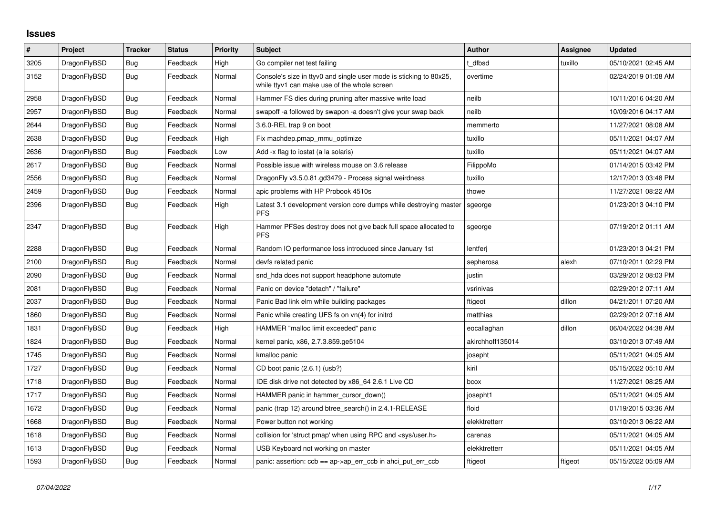## **Issues**

| $\sharp$ | Project      | <b>Tracker</b> | <b>Status</b> | <b>Priority</b> | <b>Subject</b>                                                                                                     | Author           | Assignee | <b>Updated</b>      |
|----------|--------------|----------------|---------------|-----------------|--------------------------------------------------------------------------------------------------------------------|------------------|----------|---------------------|
| 3205     | DragonFlyBSD | Bug            | Feedback      | High            | Go compiler net test failing                                                                                       | t dfbsd          | tuxillo  | 05/10/2021 02:45 AM |
| 3152     | DragonFlyBSD | <b>Bug</b>     | Feedback      | Normal          | Console's size in ttyv0 and single user mode is sticking to 80x25,<br>while ttyv1 can make use of the whole screen | overtime         |          | 02/24/2019 01:08 AM |
| 2958     | DragonFlyBSD | Bug            | Feedback      | Normal          | Hammer FS dies during pruning after massive write load                                                             | neilb            |          | 10/11/2016 04:20 AM |
| 2957     | DragonFlyBSD | Bug            | Feedback      | Normal          | swapoff -a followed by swapon -a doesn't give your swap back                                                       | neilb            |          | 10/09/2016 04:17 AM |
| 2644     | DragonFlyBSD | <b>Bug</b>     | Feedback      | Normal          | 3.6.0-REL trap 9 on boot                                                                                           | memmerto         |          | 11/27/2021 08:08 AM |
| 2638     | DragonFlyBSD | Bug            | Feedback      | High            | Fix machdep.pmap mmu optimize                                                                                      | tuxillo          |          | 05/11/2021 04:07 AM |
| 2636     | DragonFlyBSD | Bug            | Feedback      | Low             | Add -x flag to iostat (a la solaris)                                                                               | tuxillo          |          | 05/11/2021 04:07 AM |
| 2617     | DragonFlyBSD | Bug            | Feedback      | Normal          | Possible issue with wireless mouse on 3.6 release                                                                  | FilippoMo        |          | 01/14/2015 03:42 PM |
| 2556     | DragonFlyBSD | <b>Bug</b>     | Feedback      | Normal          | DragonFly v3.5.0.81.gd3479 - Process signal weirdness                                                              | tuxillo          |          | 12/17/2013 03:48 PM |
| 2459     | DragonFlyBSD | Bug            | Feedback      | Normal          | apic problems with HP Probook 4510s                                                                                | thowe            |          | 11/27/2021 08:22 AM |
| 2396     | DragonFlyBSD | Bug            | Feedback      | High            | Latest 3.1 development version core dumps while destroying master<br><b>PFS</b>                                    | sgeorge          |          | 01/23/2013 04:10 PM |
| 2347     | DragonFlyBSD | <b>Bug</b>     | Feedback      | High            | Hammer PFSes destroy does not give back full space allocated to<br><b>PFS</b>                                      | sgeorge          |          | 07/19/2012 01:11 AM |
| 2288     | DragonFlyBSD | <b>Bug</b>     | Feedback      | Normal          | Random IO performance loss introduced since January 1st                                                            | lentferi         |          | 01/23/2013 04:21 PM |
| 2100     | DragonFlyBSD | Bug            | Feedback      | Normal          | devfs related panic                                                                                                | sepherosa        | alexh    | 07/10/2011 02:29 PM |
| 2090     | DragonFlyBSD | Bug            | Feedback      | Normal          | snd_hda does not support headphone automute                                                                        | justin           |          | 03/29/2012 08:03 PM |
| 2081     | DragonFlyBSD | Bug            | Feedback      | Normal          | Panic on device "detach" / "failure"                                                                               | vsrinivas        |          | 02/29/2012 07:11 AM |
| 2037     | DragonFlyBSD | Bug            | Feedback      | Normal          | Panic Bad link elm while building packages                                                                         | ftigeot          | dillon   | 04/21/2011 07:20 AM |
| 1860     | DragonFlyBSD | Bug            | Feedback      | Normal          | Panic while creating UFS fs on vn(4) for initrd                                                                    | matthias         |          | 02/29/2012 07:16 AM |
| 1831     | DragonFlyBSD | Bug            | Feedback      | High            | HAMMER "malloc limit exceeded" panic                                                                               | eocallaghan      | dillon   | 06/04/2022 04:38 AM |
| 1824     | DragonFlyBSD | Bug            | Feedback      | Normal          | kernel panic, x86, 2.7.3.859.ge5104                                                                                | akirchhoff135014 |          | 03/10/2013 07:49 AM |
| 1745     | DragonFlyBSD | Bug            | Feedback      | Normal          | kmalloc panic                                                                                                      | josepht          |          | 05/11/2021 04:05 AM |
| 1727     | DragonFlyBSD | <b>Bug</b>     | Feedback      | Normal          | CD boot panic (2.6.1) (usb?)                                                                                       | kiril            |          | 05/15/2022 05:10 AM |
| 1718     | DragonFlyBSD | <b>Bug</b>     | Feedback      | Normal          | IDE disk drive not detected by x86 64 2.6.1 Live CD                                                                | bcox             |          | 11/27/2021 08:25 AM |
| 1717     | DragonFlyBSD | Bug            | Feedback      | Normal          | HAMMER panic in hammer_cursor_down()                                                                               | josepht1         |          | 05/11/2021 04:05 AM |
| 1672     | DragonFlyBSD | <b>Bug</b>     | Feedback      | Normal          | panic (trap 12) around btree search() in 2.4.1-RELEASE                                                             | floid            |          | 01/19/2015 03:36 AM |
| 1668     | DragonFlyBSD | Bug            | Feedback      | Normal          | Power button not working                                                                                           | elekktretterr    |          | 03/10/2013 06:22 AM |
| 1618     | DragonFlyBSD | Bug            | Feedback      | Normal          | collision for 'struct pmap' when using RPC and <sys user.h=""></sys>                                               | carenas          |          | 05/11/2021 04:05 AM |
| 1613     | DragonFlyBSD | Bug            | Feedback      | Normal          | USB Keyboard not working on master                                                                                 | elekktretterr    |          | 05/11/2021 04:05 AM |
| 1593     | DragonFlyBSD | <b>Bug</b>     | Feedback      | Normal          | panic: assertion: $ccb == ap \rightarrow ap$ err $ccb$ in ahci put err $ccb$                                       | ftigeot          | ftigeot  | 05/15/2022 05:09 AM |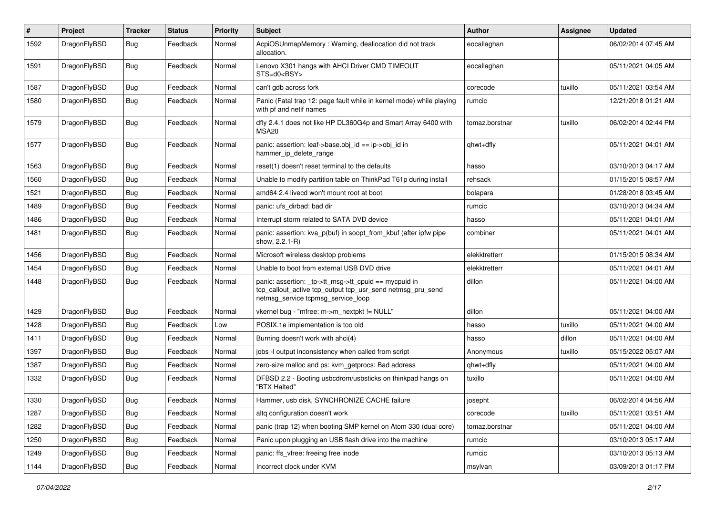| #    | Project      | <b>Tracker</b> | <b>Status</b> | <b>Priority</b> | Subject                                                                                                                                                   | <b>Author</b>  | <b>Assignee</b> | <b>Updated</b>      |
|------|--------------|----------------|---------------|-----------------|-----------------------------------------------------------------------------------------------------------------------------------------------------------|----------------|-----------------|---------------------|
| 1592 | DragonFlyBSD | <b>Bug</b>     | Feedback      | Normal          | AcpiOSUnmapMemory: Warning, deallocation did not track<br>allocation.                                                                                     | eocallaghan    |                 | 06/02/2014 07:45 AM |
| 1591 | DragonFlyBSD | <b>Bug</b>     | Feedback      | Normal          | Lenovo X301 hangs with AHCI Driver CMD TIMEOUT<br>STS=d0 <bsy></bsy>                                                                                      | eocallaghan    |                 | 05/11/2021 04:05 AM |
| 1587 | DragonFlyBSD | <b>Bug</b>     | Feedback      | Normal          | can't gdb across fork                                                                                                                                     | corecode       | tuxillo         | 05/11/2021 03:54 AM |
| 1580 | DragonFlyBSD | <b>Bug</b>     | Feedback      | Normal          | Panic (Fatal trap 12: page fault while in kernel mode) while playing<br>with pf and netif names                                                           | rumcic         |                 | 12/21/2018 01:21 AM |
| 1579 | DragonFlyBSD | <b>Bug</b>     | Feedback      | Normal          | dfly 2.4.1 does not like HP DL360G4p and Smart Array 6400 with<br>MSA <sub>20</sub>                                                                       | tomaz.borstnar | tuxillo         | 06/02/2014 02:44 PM |
| 1577 | DragonFlyBSD | <b>Bug</b>     | Feedback      | Normal          | panic: assertion: leaf->base.obj_id == ip->obj_id in<br>hammer_ip_delete_range                                                                            | qhwt+dfly      |                 | 05/11/2021 04:01 AM |
| 1563 | DragonFlyBSD | <b>Bug</b>     | Feedback      | Normal          | reset(1) doesn't reset terminal to the defaults                                                                                                           | hasso          |                 | 03/10/2013 04:17 AM |
| 1560 | DragonFlyBSD | <b>Bug</b>     | Feedback      | Normal          | Unable to modify partition table on ThinkPad T61p during install                                                                                          | rehsack        |                 | 01/15/2015 08:57 AM |
| 1521 | DragonFlyBSD | <b>Bug</b>     | Feedback      | Normal          | amd64 2.4 livecd won't mount root at boot                                                                                                                 | bolapara       |                 | 01/28/2018 03:45 AM |
| 1489 | DragonFlyBSD | <b>Bug</b>     | Feedback      | Normal          | panic: ufs dirbad: bad dir                                                                                                                                | rumcic         |                 | 03/10/2013 04:34 AM |
| 1486 | DragonFlyBSD | Bug            | Feedback      | Normal          | Interrupt storm related to SATA DVD device                                                                                                                | hasso          |                 | 05/11/2021 04:01 AM |
| 1481 | DragonFlyBSD | Bug            | Feedback      | Normal          | panic: assertion: kva_p(buf) in soopt_from_kbuf (after ipfw pipe<br>show, 2.2.1-R)                                                                        | combiner       |                 | 05/11/2021 04:01 AM |
| 1456 | DragonFlyBSD | Bug            | Feedback      | Normal          | Microsoft wireless desktop problems                                                                                                                       | elekktretterr  |                 | 01/15/2015 08:34 AM |
| 1454 | DragonFlyBSD | <b>Bug</b>     | Feedback      | Normal          | Unable to boot from external USB DVD drive                                                                                                                | elekktretterr  |                 | 05/11/2021 04:01 AM |
| 1448 | DragonFlyBSD | Bug            | Feedback      | Normal          | panic: assertion: _tp->tt_msg->tt_cpuid == mycpuid in<br>tcp_callout_active tcp_output tcp_usr_send netmsg_pru_send<br>netmsg_service tcpmsg_service_loop | dillon         |                 | 05/11/2021 04:00 AM |
| 1429 | DragonFlyBSD | Bug            | Feedback      | Normal          | vkernel bug - "mfree: m->m_nextpkt != NULL"                                                                                                               | dillon         |                 | 05/11/2021 04:00 AM |
| 1428 | DragonFlyBSD | Bug            | Feedback      | Low             | POSIX.1e implementation is too old                                                                                                                        | hasso          | tuxillo         | 05/11/2021 04:00 AM |
| 1411 | DragonFlyBSD | Bug            | Feedback      | Normal          | Burning doesn't work with ahci(4)                                                                                                                         | hasso          | dillon          | 05/11/2021 04:00 AM |
| 1397 | DragonFlyBSD | <b>Bug</b>     | Feedback      | Normal          | jobs -I output inconsistency when called from script                                                                                                      | Anonymous      | tuxillo         | 05/15/2022 05:07 AM |
| 1387 | DragonFlyBSD | <b>Bug</b>     | Feedback      | Normal          | zero-size malloc and ps: kvm_getprocs: Bad address                                                                                                        | qhwt+dfly      |                 | 05/11/2021 04:00 AM |
| 1332 | DragonFlyBSD | Bug            | Feedback      | Normal          | DFBSD 2.2 - Booting usbcdrom/usbsticks on thinkpad hangs on<br>"BTX Halted"                                                                               | tuxillo        |                 | 05/11/2021 04:00 AM |
| 1330 | DragonFlyBSD | Bug            | Feedback      | Normal          | Hammer, usb disk, SYNCHRONIZE CACHE failure                                                                                                               | josepht        |                 | 06/02/2014 04:56 AM |
| 1287 | DragonFlyBSD | <b>Bug</b>     | Feedback      | Normal          | altq configuration doesn't work                                                                                                                           | corecode       | tuxillo         | 05/11/2021 03:51 AM |
| 1282 | DragonFlyBSD | Bug            | Feedback      | Normal          | panic (trap 12) when booting SMP kernel on Atom 330 (dual core)                                                                                           | tomaz.borstnar |                 | 05/11/2021 04:00 AM |
| 1250 | DragonFlyBSD | <b>Bug</b>     | Feedback      | Normal          | Panic upon plugging an USB flash drive into the machine                                                                                                   | rumcic         |                 | 03/10/2013 05:17 AM |
| 1249 | DragonFlyBSD | <b>Bug</b>     | Feedback      | Normal          | panic: ffs vfree: freeing free inode                                                                                                                      | rumcic         |                 | 03/10/2013 05:13 AM |
| 1144 | DragonFlyBSD | <b>Bug</b>     | Feedback      | Normal          | Incorrect clock under KVM                                                                                                                                 | msylvan        |                 | 03/09/2013 01:17 PM |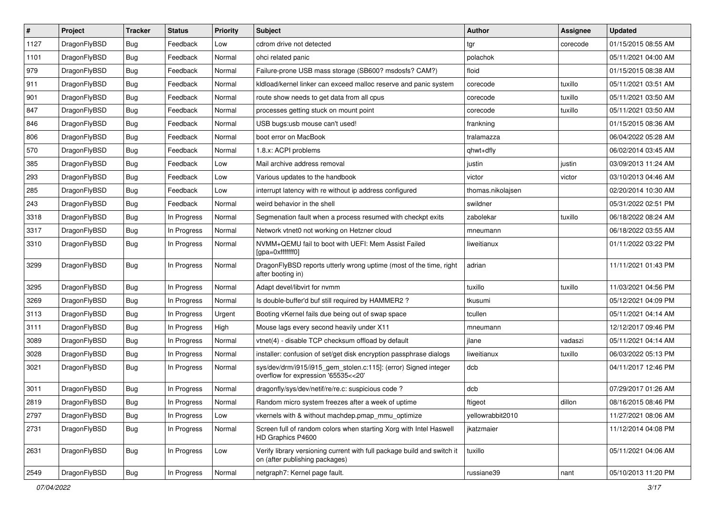| $\overline{\boldsymbol{H}}$ | Project      | <b>Tracker</b> | <b>Status</b> | Priority | <b>Subject</b>                                                                                            | Author            | <b>Assignee</b> | <b>Updated</b>      |
|-----------------------------|--------------|----------------|---------------|----------|-----------------------------------------------------------------------------------------------------------|-------------------|-----------------|---------------------|
| 1127                        | DragonFlyBSD | Bug            | Feedback      | Low      | cdrom drive not detected                                                                                  | tgr               | corecode        | 01/15/2015 08:55 AM |
| 1101                        | DragonFlyBSD | Bug            | Feedback      | Normal   | ohci related panic                                                                                        | polachok          |                 | 05/11/2021 04:00 AM |
| 979                         | DragonFlyBSD | Bug            | Feedback      | Normal   | Failure-prone USB mass storage (SB600? msdosfs? CAM?)                                                     | floid             |                 | 01/15/2015 08:38 AM |
| 911                         | DragonFlyBSD | Bug            | Feedback      | Normal   | kldload/kernel linker can exceed malloc reserve and panic system                                          | corecode          | tuxillo         | 05/11/2021 03:51 AM |
| 901                         | DragonFlyBSD | Bug            | Feedback      | Normal   | route show needs to get data from all cpus                                                                | corecode          | tuxillo         | 05/11/2021 03:50 AM |
| 847                         | DragonFlyBSD | Bug            | Feedback      | Normal   | processes getting stuck on mount point                                                                    | corecode          | tuxillo         | 05/11/2021 03:50 AM |
| 846                         | DragonFlyBSD | Bug            | Feedback      | Normal   | USB bugs:usb mouse can't used!                                                                            | frankning         |                 | 01/15/2015 08:36 AM |
| 806                         | DragonFlyBSD | Bug            | Feedback      | Normal   | boot error on MacBook                                                                                     | tralamazza        |                 | 06/04/2022 05:28 AM |
| 570                         | DragonFlyBSD | Bug            | Feedback      | Normal   | 1.8.x: ACPI problems                                                                                      | qhwt+dfly         |                 | 06/02/2014 03:45 AM |
| 385                         | DragonFlyBSD | Bug            | Feedback      | Low      | Mail archive address removal                                                                              | justin            | justin          | 03/09/2013 11:24 AM |
| 293                         | DragonFlyBSD | Bug            | Feedback      | Low      | Various updates to the handbook                                                                           | victor            | victor          | 03/10/2013 04:46 AM |
| 285                         | DragonFlyBSD | Bug            | Feedback      | Low      | interrupt latency with re without ip address configured                                                   | thomas.nikolajsen |                 | 02/20/2014 10:30 AM |
| 243                         | DragonFlyBSD | Bug            | Feedback      | Normal   | weird behavior in the shell                                                                               | swildner          |                 | 05/31/2022 02:51 PM |
| 3318                        | DragonFlyBSD | Bug            | In Progress   | Normal   | Segmenation fault when a process resumed with checkpt exits                                               | zabolekar         | tuxillo         | 06/18/2022 08:24 AM |
| 3317                        | DragonFlyBSD | Bug            | In Progress   | Normal   | Network vtnet0 not working on Hetzner cloud                                                               | mneumann          |                 | 06/18/2022 03:55 AM |
| 3310                        | DragonFlyBSD | Bug            | In Progress   | Normal   | NVMM+QEMU fail to boot with UEFI: Mem Assist Failed<br>[gpa=0xfffffff0]                                   | liweitianux       |                 | 01/11/2022 03:22 PM |
| 3299                        | DragonFlyBSD | Bug            | In Progress   | Normal   | DragonFlyBSD reports utterly wrong uptime (most of the time, right<br>after booting in)                   | adrian            |                 | 11/11/2021 01:43 PM |
| 3295                        | DragonFlyBSD | Bug            | In Progress   | Normal   | Adapt devel/libvirt for nvmm                                                                              | tuxillo           | tuxillo         | 11/03/2021 04:56 PM |
| 3269                        | DragonFlyBSD | Bug            | In Progress   | Normal   | Is double-buffer'd buf still required by HAMMER2?                                                         | tkusumi           |                 | 05/12/2021 04:09 PM |
| 3113                        | DragonFlyBSD | Bug            | In Progress   | Urgent   | Booting vKernel fails due being out of swap space                                                         | tcullen           |                 | 05/11/2021 04:14 AM |
| 3111                        | DragonFlyBSD | Bug            | In Progress   | High     | Mouse lags every second heavily under X11                                                                 | mneumann          |                 | 12/12/2017 09:46 PM |
| 3089                        | DragonFlyBSD | Bug            | In Progress   | Normal   | vtnet(4) - disable TCP checksum offload by default                                                        | jlane             | vadaszi         | 05/11/2021 04:14 AM |
| 3028                        | DragonFlyBSD | <b>Bug</b>     | In Progress   | Normal   | installer: confusion of set/get disk encryption passphrase dialogs                                        | liweitianux       | tuxillo         | 06/03/2022 05:13 PM |
| 3021                        | DragonFlyBSD | Bug            | In Progress   | Normal   | sys/dev/drm/i915/i915_gem_stolen.c:115]: (error) Signed integer<br>overflow for expression '65535<<20'    | dcb               |                 | 04/11/2017 12:46 PM |
| 3011                        | DragonFlyBSD | Bug            | In Progress   | Normal   | dragonfly/sys/dev/netif/re/re.c: suspicious code ?                                                        | dcb               |                 | 07/29/2017 01:26 AM |
| 2819                        | DragonFlyBSD | Bug            | In Progress   | Normal   | Random micro system freezes after a week of uptime                                                        | ftigeot           | dillon          | 08/16/2015 08:46 PM |
| 2797                        | DragonFlyBSD | <b>Bug</b>     | In Progress   | Low      | vkernels with & without machdep.pmap_mmu_optimize                                                         | yellowrabbit2010  |                 | 11/27/2021 08:06 AM |
| 2731                        | DragonFlyBSD | <b>Bug</b>     | In Progress   | Normal   | Screen full of random colors when starting Xorg with Intel Haswell<br>HD Graphics P4600                   | jkatzmaier        |                 | 11/12/2014 04:08 PM |
| 2631                        | DragonFlyBSD | <b>Bug</b>     | In Progress   | Low      | Verify library versioning current with full package build and switch it<br>on (after publishing packages) | tuxillo           |                 | 05/11/2021 04:06 AM |
| 2549                        | DragonFlyBSD | <b>Bug</b>     | In Progress   | Normal   | netgraph7: Kernel page fault.                                                                             | russiane39        | nant            | 05/10/2013 11:20 PM |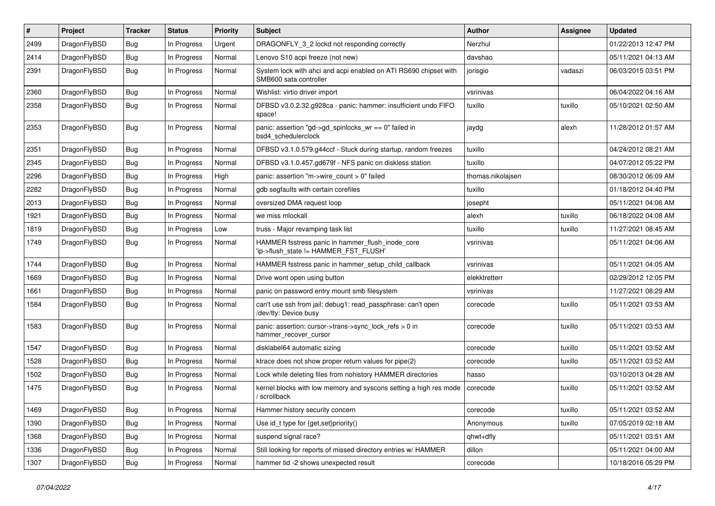| #    | Project      | <b>Tracker</b> | <b>Status</b> | <b>Priority</b> | <b>Subject</b>                                                                             | <b>Author</b>     | <b>Assignee</b> | <b>Updated</b>      |
|------|--------------|----------------|---------------|-----------------|--------------------------------------------------------------------------------------------|-------------------|-----------------|---------------------|
| 2499 | DragonFlyBSD | <b>Bug</b>     | In Progress   | Urgent          | DRAGONFLY_3_2 lockd not responding correctly                                               | Nerzhul           |                 | 01/22/2013 12:47 PM |
| 2414 | DragonFlyBSD | <b>Bug</b>     | In Progress   | Normal          | Lenovo S10 acpi freeze (not new)                                                           | davshao           |                 | 05/11/2021 04:13 AM |
| 2391 | DragonFlyBSD | <b>Bug</b>     | In Progress   | Normal          | System lock with ahci and acpi enabled on ATI RS690 chipset with<br>SMB600 sata controller | jorisgio          | vadaszi         | 06/03/2015 03:51 PM |
| 2360 | DragonFlyBSD | Bug            | In Progress   | Normal          | Wishlist: virtio driver import                                                             | vsrinivas         |                 | 06/04/2022 04:16 AM |
| 2358 | DragonFlyBSD | <b>Bug</b>     | In Progress   | Normal          | DFBSD v3.0.2.32.g928ca - panic: hammer: insufficient undo FIFO<br>space!                   | tuxillo           | tuxillo         | 05/10/2021 02:50 AM |
| 2353 | DragonFlyBSD | Bug            | In Progress   | Normal          | panic: assertion "gd->gd_spinlocks_wr == 0" failed in<br>bsd4 schedulerclock               | jaydg             | alexh           | 11/28/2012 01:57 AM |
| 2351 | DragonFlyBSD | Bug            | In Progress   | Normal          | DFBSD v3.1.0.579.g44ccf - Stuck during startup, random freezes                             | tuxillo           |                 | 04/24/2012 08:21 AM |
| 2345 | DragonFlyBSD | <b>Bug</b>     | In Progress   | Normal          | DFBSD v3.1.0.457.gd679f - NFS panic on diskless station                                    | tuxillo           |                 | 04/07/2012 05:22 PM |
| 2296 | DragonFlyBSD | <b>Bug</b>     | In Progress   | High            | panic: assertion "m->wire count > 0" failed                                                | thomas.nikolajsen |                 | 08/30/2012 06:09 AM |
| 2282 | DragonFlyBSD | Bug            | In Progress   | Normal          | gdb segfaults with certain corefiles                                                       | tuxillo           |                 | 01/18/2012 04:40 PM |
| 2013 | DragonFlyBSD | <b>Bug</b>     | In Progress   | Normal          | oversized DMA request loop                                                                 | josepht           |                 | 05/11/2021 04:06 AM |
| 1921 | DragonFlyBSD | Bug            | In Progress   | Normal          | we miss mlockall                                                                           | alexh             | tuxillo         | 06/18/2022 04:08 AM |
| 1819 | DragonFlyBSD | <b>Bug</b>     | In Progress   | Low             | truss - Major revamping task list                                                          | tuxillo           | tuxillo         | 11/27/2021 08:45 AM |
| 1749 | DragonFlyBSD | <b>Bug</b>     | In Progress   | Normal          | HAMMER fsstress panic in hammer flush inode core<br>'ip->flush_state != HAMMER_FST_FLUSH'  | vsrinivas         |                 | 05/11/2021 04:06 AM |
| 1744 | DragonFlyBSD | Bug            | In Progress   | Normal          | HAMMER fsstress panic in hammer setup child callback                                       | vsrinivas         |                 | 05/11/2021 04:05 AM |
| 1669 | DragonFlyBSD | <b>Bug</b>     | In Progress   | Normal          | Drive wont open using button                                                               | elekktretterr     |                 | 02/29/2012 12:05 PM |
| 1661 | DragonFlyBSD | <b>Bug</b>     | In Progress   | Normal          | panic on password entry mount smb filesystem                                               | vsrinivas         |                 | 11/27/2021 08:29 AM |
| 1584 | DragonFlyBSD | <b>Bug</b>     | In Progress   | Normal          | can't use ssh from jail: debug1: read_passphrase: can't open<br>/dev/tty: Device busy      | corecode          | tuxillo         | 05/11/2021 03:53 AM |
| 1583 | DragonFlyBSD | <b>Bug</b>     | In Progress   | Normal          | panic: assertion: cursor->trans->sync_lock_refs > 0 in<br>hammer_recover_cursor            | corecode          | tuxillo         | 05/11/2021 03:53 AM |
| 1547 | DragonFlyBSD | Bug            | In Progress   | Normal          | disklabel64 automatic sizing                                                               | corecode          | tuxillo         | 05/11/2021 03:52 AM |
| 1528 | DragonFlyBSD | <b>Bug</b>     | In Progress   | Normal          | ktrace does not show proper return values for pipe(2)                                      | corecode          | tuxillo         | 05/11/2021 03:52 AM |
| 1502 | DragonFlyBSD | <b>Bug</b>     | In Progress   | Normal          | Lock while deleting files from nohistory HAMMER directories                                | hasso             |                 | 03/10/2013 04:28 AM |
| 1475 | DragonFlyBSD | Bug            | In Progress   | Normal          | kernel blocks with low memory and syscons setting a high res mode<br>/ scrollback          | corecode          | tuxillo         | 05/11/2021 03:52 AM |
| 1469 | DragonFlyBSD | <b>Bug</b>     | In Progress   | Normal          | Hammer history security concern                                                            | corecode          | tuxillo         | 05/11/2021 03:52 AM |
| 1390 | DragonFlyBSD | <b>Bug</b>     | In Progress   | Normal          | Use id_t type for {get,set}priority()                                                      | Anonymous         | tuxillo         | 07/05/2019 02:18 AM |
| 1368 | DragonFlyBSD | <b>Bug</b>     | In Progress   | Normal          | suspend signal race?                                                                       | qhwt+dfly         |                 | 05/11/2021 03:51 AM |
| 1336 | DragonFlyBSD | <b>Bug</b>     | In Progress   | Normal          | Still looking for reports of missed directory entries w/ HAMMER                            | dillon            |                 | 05/11/2021 04:00 AM |
| 1307 | DragonFlyBSD | <b>Bug</b>     | In Progress   | Normal          | hammer tid -2 shows unexpected result                                                      | corecode          |                 | 10/18/2016 05:29 PM |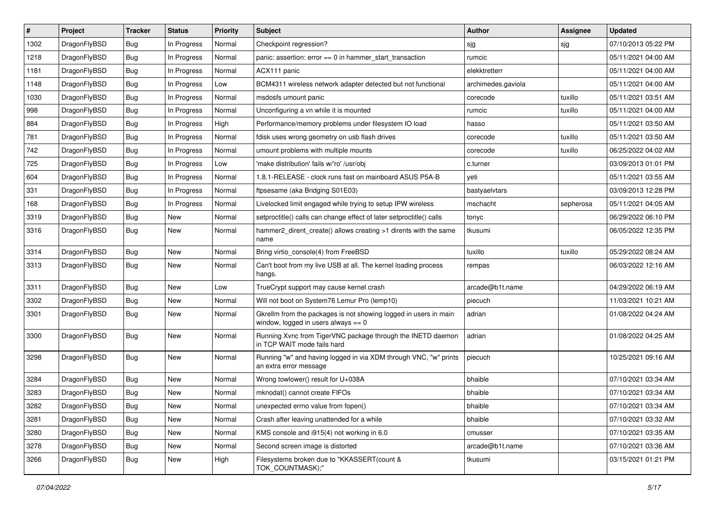| #    | Project      | <b>Tracker</b> | <b>Status</b> | <b>Priority</b> | Subject                                                                                                   | <b>Author</b>      | <b>Assignee</b> | <b>Updated</b>      |
|------|--------------|----------------|---------------|-----------------|-----------------------------------------------------------------------------------------------------------|--------------------|-----------------|---------------------|
| 1302 | DragonFlyBSD | Bug            | In Progress   | Normal          | Checkpoint regression?                                                                                    | sjg                | sjg             | 07/10/2013 05:22 PM |
| 1218 | DragonFlyBSD | Bug            | In Progress   | Normal          | panic: assertion: error == 0 in hammer_start_transaction                                                  | rumcic             |                 | 05/11/2021 04:00 AM |
| 1181 | DragonFlyBSD | Bug            | In Progress   | Normal          | ACX111 panic                                                                                              | elekktretterr      |                 | 05/11/2021 04:00 AM |
| 1148 | DragonFlyBSD | Bug            | In Progress   | Low             | BCM4311 wireless network adapter detected but not functional                                              | archimedes.gaviola |                 | 05/11/2021 04:00 AM |
| 1030 | DragonFlyBSD | Bug            | In Progress   | Normal          | msdosfs umount panic                                                                                      | corecode           | tuxillo         | 05/11/2021 03:51 AM |
| 998  | DragonFlyBSD | Bug            | In Progress   | Normal          | Unconfiguring a vn while it is mounted                                                                    | rumcic             | tuxillo         | 05/11/2021 04:00 AM |
| 884  | DragonFlyBSD | Bug            | In Progress   | High            | Performance/memory problems under filesystem IO load                                                      | hasso              |                 | 05/11/2021 03:50 AM |
| 781  | DragonFlyBSD | Bug            | In Progress   | Normal          | fdisk uses wrong geometry on usb flash drives                                                             | corecode           | tuxillo         | 05/11/2021 03:50 AM |
| 742  | DragonFlyBSD | Bug            | In Progress   | Normal          | umount problems with multiple mounts                                                                      | corecode           | tuxillo         | 06/25/2022 04:02 AM |
| 725  | DragonFlyBSD | Bug            | In Progress   | Low             | 'make distribution' fails w/'ro' /usr/obj                                                                 | c.turner           |                 | 03/09/2013 01:01 PM |
| 604  | DragonFlyBSD | Bug            | In Progress   | Normal          | 1.8.1-RELEASE - clock runs fast on mainboard ASUS P5A-B                                                   | yeti               |                 | 05/11/2021 03:55 AM |
| 331  | DragonFlyBSD | Bug            | In Progress   | Normal          | ftpsesame (aka Bridging S01E03)                                                                           | bastyaelvtars      |                 | 03/09/2013 12:28 PM |
| 168  | DragonFlyBSD | Bug            | In Progress   | Normal          | Livelocked limit engaged while trying to setup IPW wireless                                               | mschacht           | sepherosa       | 05/11/2021 04:05 AM |
| 3319 | DragonFlyBSD | Bug            | <b>New</b>    | Normal          | setproctitle() calls can change effect of later setproctitle() calls                                      | tonyc              |                 | 06/29/2022 06:10 PM |
| 3316 | DragonFlyBSD | Bug            | New           | Normal          | hammer2_dirent_create() allows creating >1 dirents with the same<br>name                                  | tkusumi            |                 | 06/05/2022 12:35 PM |
| 3314 | DragonFlyBSD | Bug            | <b>New</b>    | Normal          | Bring virtio_console(4) from FreeBSD                                                                      | tuxillo            | tuxillo         | 05/29/2022 08:24 AM |
| 3313 | DragonFlyBSD | Bug            | New           | Normal          | Can't boot from my live USB at all. The kernel loading process<br>hangs.                                  | rempas             |                 | 06/03/2022 12:16 AM |
| 3311 | DragonFlyBSD | Bug            | <b>New</b>    | Low             | TrueCrypt support may cause kernel crash                                                                  | arcade@b1t.name    |                 | 04/29/2022 06:19 AM |
| 3302 | DragonFlyBSD | Bug            | New           | Normal          | Will not boot on System76 Lemur Pro (lemp10)                                                              | piecuch            |                 | 11/03/2021 10:21 AM |
| 3301 | DragonFlyBSD | Bug            | New           | Normal          | Gkrellm from the packages is not showing logged in users in main<br>window, logged in users always $== 0$ | adrian             |                 | 01/08/2022 04:24 AM |
| 3300 | DragonFlyBSD | Bug            | <b>New</b>    | Normal          | Running Xvnc from TigerVNC package through the INETD daemon<br>in TCP WAIT mode fails hard                | adrian             |                 | 01/08/2022 04:25 AM |
| 3298 | DragonFlyBSD | <b>Bug</b>     | New           | Normal          | Running "w" and having logged in via XDM through VNC, "w" prints<br>an extra error message                | piecuch            |                 | 10/25/2021 09:16 AM |
| 3284 | DragonFlyBSD | Bug            | New           | Normal          | Wrong towlower() result for U+038A                                                                        | bhaible            |                 | 07/10/2021 03:34 AM |
| 3283 | DragonFlyBSD | Bug            | <b>New</b>    | Normal          | mknodat() cannot create FIFOs                                                                             | bhaible            |                 | 07/10/2021 03:34 AM |
| 3282 | DragonFlyBSD | Bug            | <b>New</b>    | Normal          | unexpected errno value from fopen()                                                                       | bhaible            |                 | 07/10/2021 03:34 AM |
| 3281 | DragonFlyBSD | <b>Bug</b>     | New           | Normal          | Crash after leaving unattended for a while                                                                | bhaible            |                 | 07/10/2021 03:32 AM |
| 3280 | DragonFlyBSD | Bug            | New           | Normal          | KMS console and i915(4) not working in 6.0                                                                | cmusser            |                 | 07/10/2021 03:35 AM |
| 3278 | DragonFlyBSD | <b>Bug</b>     | New           | Normal          | Second screen image is distorted                                                                          | arcade@b1t.name    |                 | 07/10/2021 03:36 AM |
| 3266 | DragonFlyBSD | Bug            | New           | High            | Filesystems broken due to "KKASSERT(count &<br>TOK_COUNTMASK);"                                           | tkusumi            |                 | 03/15/2021 01:21 PM |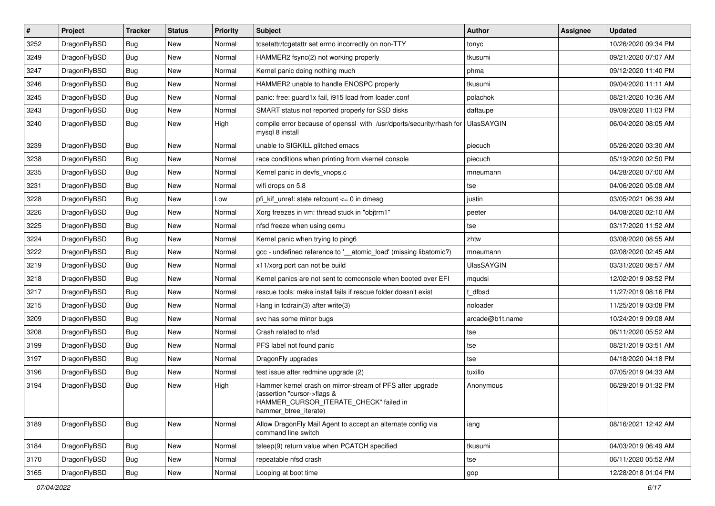| $\vert$ # | Project      | <b>Tracker</b> | <b>Status</b> | <b>Priority</b> | Subject                                                                                                                                                     | <b>Author</b>   | <b>Assignee</b> | <b>Updated</b>      |
|-----------|--------------|----------------|---------------|-----------------|-------------------------------------------------------------------------------------------------------------------------------------------------------------|-----------------|-----------------|---------------------|
| 3252      | DragonFlyBSD | <b>Bug</b>     | <b>New</b>    | Normal          | tcsetattr/tcgetattr set errno incorrectly on non-TTY                                                                                                        | tonyc           |                 | 10/26/2020 09:34 PM |
| 3249      | DragonFlyBSD | Bug            | <b>New</b>    | Normal          | HAMMER2 fsync(2) not working properly                                                                                                                       | tkusumi         |                 | 09/21/2020 07:07 AM |
| 3247      | DragonFlyBSD | <b>Bug</b>     | <b>New</b>    | Normal          | Kernel panic doing nothing much                                                                                                                             | phma            |                 | 09/12/2020 11:40 PM |
| 3246      | DragonFlyBSD | Bug            | <b>New</b>    | Normal          | HAMMER2 unable to handle ENOSPC properly                                                                                                                    | tkusumi         |                 | 09/04/2020 11:11 AM |
| 3245      | DragonFlyBSD | Bug            | <b>New</b>    | Normal          | panic: free: guard1x fail, i915 load from loader.conf                                                                                                       | polachok        |                 | 08/21/2020 10:36 AM |
| 3243      | DragonFlyBSD | <b>Bug</b>     | New           | Normal          | SMART status not reported properly for SSD disks                                                                                                            | daftaupe        |                 | 09/09/2020 11:03 PM |
| 3240      | DragonFlyBSD | Bug            | <b>New</b>    | High            | compile error because of openssl with /usr/dports/security/rhash for<br>mysql 8 install                                                                     | UlasSAYGIN      |                 | 06/04/2020 08:05 AM |
| 3239      | DragonFlyBSD | <b>Bug</b>     | <b>New</b>    | Normal          | unable to SIGKILL glitched emacs                                                                                                                            | piecuch         |                 | 05/26/2020 03:30 AM |
| 3238      | DragonFlyBSD | <b>Bug</b>     | <b>New</b>    | Normal          | race conditions when printing from vkernel console                                                                                                          | piecuch         |                 | 05/19/2020 02:50 PM |
| 3235      | DragonFlyBSD | <b>Bug</b>     | <b>New</b>    | Normal          | Kernel panic in devfs_vnops.c                                                                                                                               | mneumann        |                 | 04/28/2020 07:00 AM |
| 3231      | DragonFlyBSD | Bug            | <b>New</b>    | Normal          | wifi drops on 5.8                                                                                                                                           | tse             |                 | 04/06/2020 05:08 AM |
| 3228      | DragonFlyBSD | Bug            | <b>New</b>    | Low             | pfi kif unref: state refcount $\leq$ 0 in dmesg                                                                                                             | justin          |                 | 03/05/2021 06:39 AM |
| 3226      | DragonFlyBSD | Bug            | <b>New</b>    | Normal          | Xorg freezes in vm: thread stuck in "objtrm1"                                                                                                               | peeter          |                 | 04/08/2020 02:10 AM |
| 3225      | DragonFlyBSD | Bug            | <b>New</b>    | Normal          | nfsd freeze when using gemu                                                                                                                                 | tse             |                 | 03/17/2020 11:52 AM |
| 3224      | DragonFlyBSD | <b>Bug</b>     | <b>New</b>    | Normal          | Kernel panic when trying to ping6                                                                                                                           | zhtw            |                 | 03/08/2020 08:55 AM |
| 3222      | DragonFlyBSD | <b>Bug</b>     | <b>New</b>    | Normal          | gcc - undefined reference to '__atomic_load' (missing libatomic?)                                                                                           | mneumann        |                 | 02/08/2020 02:45 AM |
| 3219      | DragonFlyBSD | Bug            | <b>New</b>    | Normal          | x11/xorg port can not be build                                                                                                                              | UlasSAYGIN      |                 | 03/31/2020 08:57 AM |
| 3218      | DragonFlyBSD | <b>Bug</b>     | New           | Normal          | Kernel panics are not sent to comconsole when booted over EFI                                                                                               | mqudsi          |                 | 12/02/2019 08:52 PM |
| 3217      | DragonFlyBSD | Bug            | <b>New</b>    | Normal          | rescue tools: make install fails if rescue folder doesn't exist                                                                                             | : dfbsd         |                 | 11/27/2019 08:16 PM |
| 3215      | DragonFlyBSD | <b>Bug</b>     | <b>New</b>    | Normal          | Hang in tcdrain(3) after write(3)                                                                                                                           | noloader        |                 | 11/25/2019 03:08 PM |
| 3209      | DragonFlyBSD | Bug            | <b>New</b>    | Normal          | svc has some minor bugs                                                                                                                                     | arcade@b1t.name |                 | 10/24/2019 09:08 AM |
| 3208      | DragonFlyBSD | Bug            | <b>New</b>    | Normal          | Crash related to nfsd                                                                                                                                       | tse             |                 | 06/11/2020 05:52 AM |
| 3199      | DragonFlyBSD | <b>Bug</b>     | <b>New</b>    | Normal          | PFS label not found panic                                                                                                                                   | tse             |                 | 08/21/2019 03:51 AM |
| 3197      | DragonFlyBSD | Bug            | <b>New</b>    | Normal          | DragonFly upgrades                                                                                                                                          | tse             |                 | 04/18/2020 04:18 PM |
| 3196      | DragonFlyBSD | <b>Bug</b>     | <b>New</b>    | Normal          | test issue after redmine upgrade (2)                                                                                                                        | tuxillo         |                 | 07/05/2019 04:33 AM |
| 3194      | DragonFlyBSD | Bug            | New           | High            | Hammer kernel crash on mirror-stream of PFS after upgrade<br>(assertion "cursor->flags &<br>HAMMER_CURSOR_ITERATE_CHECK" failed in<br>hammer btree iterate) | Anonymous       |                 | 06/29/2019 01:32 PM |
| 3189      | DragonFlyBSD | Bug            | New           | Normal          | Allow DragonFly Mail Agent to accept an alternate config via<br>command line switch                                                                         | iang            |                 | 08/16/2021 12:42 AM |
| 3184      | DragonFlyBSD | <b>Bug</b>     | New           | Normal          | tsleep(9) return value when PCATCH specified                                                                                                                | tkusumi         |                 | 04/03/2019 06:49 AM |
| 3170      | DragonFlyBSD | Bug            | New           | Normal          | repeatable nfsd crash                                                                                                                                       | tse             |                 | 06/11/2020 05:52 AM |
| 3165      | DragonFlyBSD | <b>Bug</b>     | New           | Normal          | Looping at boot time                                                                                                                                        | gop             |                 | 12/28/2018 01:04 PM |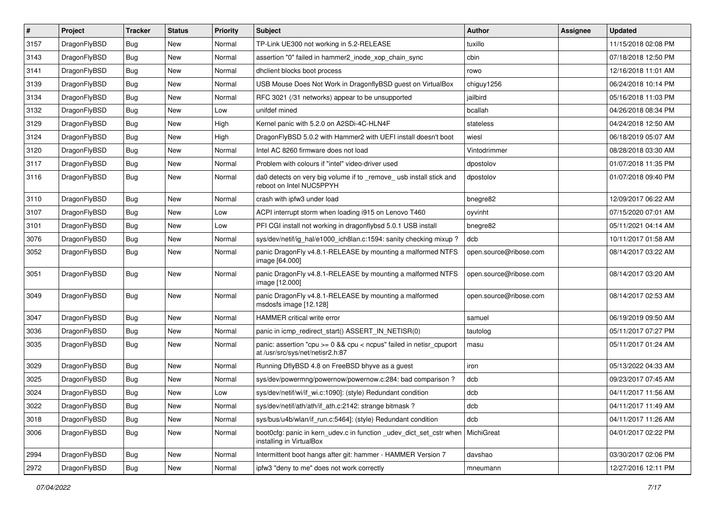| $\sharp$ | Project      | <b>Tracker</b> | <b>Status</b> | <b>Priority</b> | Subject                                                                                                 | <b>Author</b>          | Assignee | <b>Updated</b>      |
|----------|--------------|----------------|---------------|-----------------|---------------------------------------------------------------------------------------------------------|------------------------|----------|---------------------|
| 3157     | DragonFlyBSD | <b>Bug</b>     | New           | Normal          | TP-Link UE300 not working in 5.2-RELEASE                                                                | tuxillo                |          | 11/15/2018 02:08 PM |
| 3143     | DragonFlyBSD | Bug            | New           | Normal          | assertion "0" failed in hammer2 inode xop chain sync                                                    | cbin                   |          | 07/18/2018 12:50 PM |
| 3141     | DragonFlyBSD | Bug            | New           | Normal          | dhclient blocks boot process                                                                            | rowo                   |          | 12/16/2018 11:01 AM |
| 3139     | DragonFlyBSD | Bug            | New           | Normal          | USB Mouse Does Not Work in DragonflyBSD guest on VirtualBox                                             | chiguy1256             |          | 06/24/2018 10:14 PM |
| 3134     | DragonFlyBSD | Bug            | <b>New</b>    | Normal          | RFC 3021 (/31 networks) appear to be unsupported                                                        | jailbird               |          | 05/16/2018 11:03 PM |
| 3132     | DragonFlyBSD | Bug            | <b>New</b>    | Low             | unifdef mined                                                                                           | bcallah                |          | 04/26/2018 08:34 PM |
| 3129     | DragonFlyBSD | Bug            | New           | High            | Kernel panic with 5.2.0 on A2SDi-4C-HLN4F                                                               | stateless              |          | 04/24/2018 12:50 AM |
| 3124     | DragonFlyBSD | <b>Bug</b>     | New           | High            | DragonFlyBSD 5.0.2 with Hammer2 with UEFI install doesn't boot                                          | wiesl                  |          | 06/18/2019 05:07 AM |
| 3120     | DragonFlyBSD | <b>Bug</b>     | New           | Normal          | Intel AC 8260 firmware does not load                                                                    | Vintodrimmer           |          | 08/28/2018 03:30 AM |
| 3117     | DragonFlyBSD | Bug            | <b>New</b>    | Normal          | Problem with colours if "intel" video-driver used                                                       | dpostolov              |          | 01/07/2018 11:35 PM |
| 3116     | DragonFlyBSD | <b>Bug</b>     | New           | Normal          | da0 detects on very big volume if to _remove_ usb install stick and<br>reboot on Intel NUC5PPYH         | dpostolov              |          | 01/07/2018 09:40 PM |
| 3110     | DragonFlyBSD | Bug            | <b>New</b>    | Normal          | crash with ipfw3 under load                                                                             | bnegre82               |          | 12/09/2017 06:22 AM |
| 3107     | DragonFlyBSD | <b>Bug</b>     | <b>New</b>    | Low             | ACPI interrupt storm when loading i915 on Lenovo T460                                                   | oyvinht                |          | 07/15/2020 07:01 AM |
| 3101     | DragonFlyBSD | <b>Bug</b>     | New           | Low             | PFI CGI install not working in dragonflybsd 5.0.1 USB install                                           | bnegre82               |          | 05/11/2021 04:14 AM |
| 3076     | DragonFlyBSD | <b>Bug</b>     | New           | Normal          | sys/dev/netif/ig_hal/e1000_ich8lan.c:1594: sanity checking mixup?                                       | dcb                    |          | 10/11/2017 01:58 AM |
| 3052     | DragonFlyBSD | Bug            | New           | Normal          | panic DragonFly v4.8.1-RELEASE by mounting a malformed NTFS<br>image [64.000]                           | open.source@ribose.com |          | 08/14/2017 03:22 AM |
| 3051     | DragonFlyBSD | Bug            | New           | Normal          | panic DragonFly v4.8.1-RELEASE by mounting a malformed NTFS<br>image [12.000]                           | open.source@ribose.com |          | 08/14/2017 03:20 AM |
| 3049     | DragonFlyBSD | Bug            | <b>New</b>    | Normal          | panic DragonFly v4.8.1-RELEASE by mounting a malformed<br>msdosfs image [12.128]                        | open.source@ribose.com |          | 08/14/2017 02:53 AM |
| 3047     | DragonFlyBSD | Bug            | <b>New</b>    | Normal          | HAMMER critical write error                                                                             | samuel                 |          | 06/19/2019 09:50 AM |
| 3036     | DragonFlyBSD | <b>Bug</b>     | New           | Normal          | panic in icmp redirect start() ASSERT IN NETISR(0)                                                      | tautolog               |          | 05/11/2017 07:27 PM |
| 3035     | DragonFlyBSD | <b>Bug</b>     | New           | Normal          | panic: assertion "cpu >= 0 && cpu < ncpus" failed in netisr_cpuport<br>at /usr/src/sys/net/netisr2.h:87 | masu                   |          | 05/11/2017 01:24 AM |
| 3029     | DragonFlyBSD | <b>Bug</b>     | New           | Normal          | Running DflyBSD 4.8 on FreeBSD bhyve as a guest                                                         | iron                   |          | 05/13/2022 04:33 AM |
| 3025     | DragonFlyBSD | <b>Bug</b>     | New           | Normal          | sys/dev/powermng/powernow/powernow.c:284: bad comparison ?                                              | dcb                    |          | 09/23/2017 07:45 AM |
| 3024     | DragonFlyBSD | <b>Bug</b>     | New           | Low             | sys/dev/netif/wi/if_wi.c:1090]: (style) Redundant condition                                             | dcb                    |          | 04/11/2017 11:56 AM |
| 3022     | DragonFlyBSD | <b>Bug</b>     | I New         | Normal          | sys/dev/netif/ath/ath/if_ath.c:2142: strange bitmask?                                                   | dcb                    |          | 04/11/2017 11:49 AM |
| 3018     | DragonFlyBSD | <b>Bug</b>     | <b>New</b>    | Normal          | sys/bus/u4b/wlan/if_run.c:5464]: (style) Redundant condition                                            | dcb                    |          | 04/11/2017 11:26 AM |
| 3006     | DragonFlyBSD | <b>Bug</b>     | New           | Normal          | boot0cfg: panic in kern_udev.c in function _udev_dict_set_cstr when<br>installing in VirtualBox         | MichiGreat             |          | 04/01/2017 02:22 PM |
| 2994     | DragonFlyBSD | <b>Bug</b>     | <b>New</b>    | Normal          | Intermittent boot hangs after git: hammer - HAMMER Version 7                                            | davshao                |          | 03/30/2017 02:06 PM |
| 2972     | DragonFlyBSD | <b>Bug</b>     | New           | Normal          | ipfw3 "deny to me" does not work correctly                                                              | mneumann               |          | 12/27/2016 12:11 PM |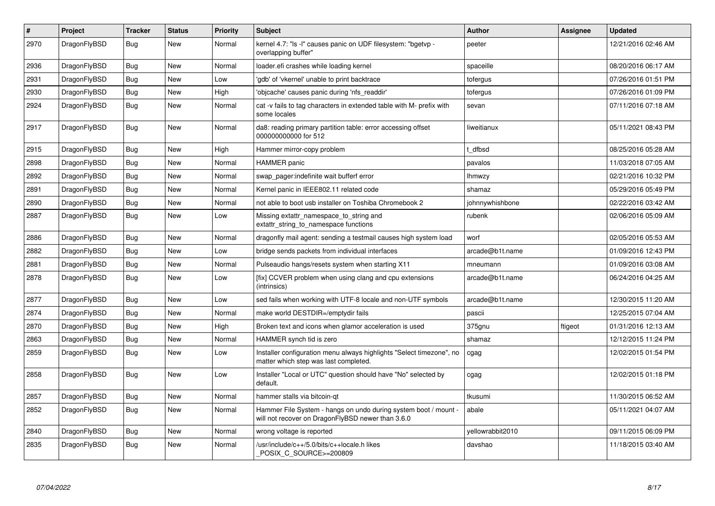| $\vert$ # | Project      | <b>Tracker</b> | <b>Status</b> | <b>Priority</b> | <b>Subject</b>                                                                                                       | <b>Author</b>    | Assignee | <b>Updated</b>      |
|-----------|--------------|----------------|---------------|-----------------|----------------------------------------------------------------------------------------------------------------------|------------------|----------|---------------------|
| 2970      | DragonFlyBSD | <b>Bug</b>     | <b>New</b>    | Normal          | kernel 4.7: "Is -I" causes panic on UDF filesystem: "bgetvp -<br>overlapping buffer"                                 | peeter           |          | 12/21/2016 02:46 AM |
| 2936      | DragonFlyBSD | <b>Bug</b>     | New           | Normal          | loader.efi crashes while loading kernel                                                                              | spaceille        |          | 08/20/2016 06:17 AM |
| 2931      | DragonFlyBSD | Bug            | New           | Low             | 'gdb' of 'vkernel' unable to print backtrace                                                                         | tofergus         |          | 07/26/2016 01:51 PM |
| 2930      | DragonFlyBSD | <b>Bug</b>     | <b>New</b>    | High            | 'objcache' causes panic during 'nfs_readdir'                                                                         | tofergus         |          | 07/26/2016 01:09 PM |
| 2924      | DragonFlyBSD | <b>Bug</b>     | <b>New</b>    | Normal          | cat -v fails to tag characters in extended table with M- prefix with<br>some locales                                 | sevan            |          | 07/11/2016 07:18 AM |
| 2917      | DragonFlyBSD | Bug            | <b>New</b>    | Normal          | da8: reading primary partition table: error accessing offset<br>000000000000 for 512                                 | liweitianux      |          | 05/11/2021 08:43 PM |
| 2915      | DragonFlyBSD | Bug            | <b>New</b>    | High            | Hammer mirror-copy problem                                                                                           | t dfbsd          |          | 08/25/2016 05:28 AM |
| 2898      | DragonFlyBSD | Bug            | <b>New</b>    | Normal          | <b>HAMMER</b> panic                                                                                                  | pavalos          |          | 11/03/2018 07:05 AM |
| 2892      | DragonFlyBSD | <b>Bug</b>     | <b>New</b>    | Normal          | swap_pager:indefinite wait bufferf error                                                                             | lhmwzy           |          | 02/21/2016 10:32 PM |
| 2891      | DragonFlyBSD | <b>Bug</b>     | New           | Normal          | Kernel panic in IEEE802.11 related code                                                                              | shamaz           |          | 05/29/2016 05:49 PM |
| 2890      | DragonFlyBSD | Bug            | <b>New</b>    | Normal          | not able to boot usb installer on Toshiba Chromebook 2                                                               | johnnywhishbone  |          | 02/22/2016 03:42 AM |
| 2887      | DragonFlyBSD | <b>Bug</b>     | New           | Low             | Missing extattr_namespace_to_string and<br>extattr string to namespace functions                                     | rubenk           |          | 02/06/2016 05:09 AM |
| 2886      | DragonFlyBSD | Bug            | <b>New</b>    | Normal          | dragonfly mail agent: sending a testmail causes high system load                                                     | worf             |          | 02/05/2016 05:53 AM |
| 2882      | DragonFlyBSD | <b>Bug</b>     | New           | Low             | bridge sends packets from individual interfaces                                                                      | arcade@b1t.name  |          | 01/09/2016 12:43 PM |
| 2881      | DragonFlyBSD | <b>Bug</b>     | New           | Normal          | Pulseaudio hangs/resets system when starting X11                                                                     | mneumann         |          | 01/09/2016 03:08 AM |
| 2878      | DragonFlyBSD | Bug            | New           | Low             | [fix] CCVER problem when using clang and cpu extensions<br>(intrinsics)                                              | arcade@b1t.name  |          | 06/24/2016 04:25 AM |
| 2877      | DragonFlyBSD | Bug            | New           | Low             | sed fails when working with UTF-8 locale and non-UTF symbols                                                         | arcade@b1t.name  |          | 12/30/2015 11:20 AM |
| 2874      | DragonFlyBSD | Bug            | <b>New</b>    | Normal          | make world DESTDIR=/emptydir fails                                                                                   | pascii           |          | 12/25/2015 07:04 AM |
| 2870      | DragonFlyBSD | Bug            | <b>New</b>    | High            | Broken text and icons when glamor acceleration is used                                                               | 375gnu           | ftigeot  | 01/31/2016 12:13 AM |
| 2863      | DragonFlyBSD | <b>Bug</b>     | <b>New</b>    | Normal          | HAMMER synch tid is zero                                                                                             | shamaz           |          | 12/12/2015 11:24 PM |
| 2859      | DragonFlyBSD | <b>Bug</b>     | New           | Low             | Installer configuration menu always highlights "Select timezone", no<br>matter which step was last completed.        | cgag             |          | 12/02/2015 01:54 PM |
| 2858      | DragonFlyBSD | <b>Bug</b>     | New           | Low             | Installer "Local or UTC" question should have "No" selected by<br>default.                                           | cgag             |          | 12/02/2015 01:18 PM |
| 2857      | DragonFlyBSD | Bug            | <b>New</b>    | Normal          | hammer stalls via bitcoin-gt                                                                                         | tkusumi          |          | 11/30/2015 06:52 AM |
| 2852      | DragonFlyBSD | <b>Bug</b>     | <b>New</b>    | Normal          | Hammer File System - hangs on undo during system boot / mount -<br>will not recover on DragonFlyBSD newer than 3.6.0 | abale            |          | 05/11/2021 04:07 AM |
| 2840      | DragonFlyBSD | Bug            | <b>New</b>    | Normal          | wrong voltage is reported                                                                                            | yellowrabbit2010 |          | 09/11/2015 06:09 PM |
| 2835      | DragonFlyBSD | <b>Bug</b>     | <b>New</b>    | Normal          | /usr/include/c++/5.0/bits/c++locale.h likes<br>POSIX_C_SOURCE>=200809                                                | davshao          |          | 11/18/2015 03:40 AM |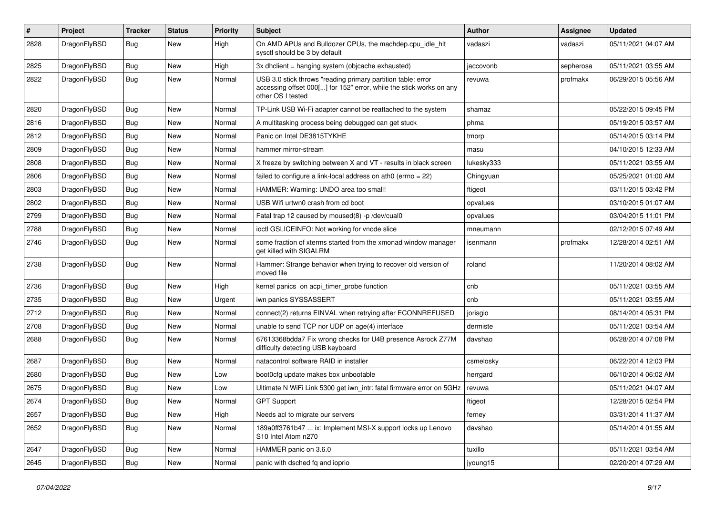| $\pmb{\#}$ | Project      | <b>Tracker</b> | <b>Status</b> | <b>Priority</b> | Subject                                                                                                                                                  | Author     | <b>Assignee</b> | <b>Updated</b>      |
|------------|--------------|----------------|---------------|-----------------|----------------------------------------------------------------------------------------------------------------------------------------------------------|------------|-----------------|---------------------|
| 2828       | DragonFlyBSD | Bug            | New           | High            | On AMD APUs and Bulldozer CPUs, the machdep.cpu_idle_hlt<br>sysctl should be 3 by default                                                                | vadaszi    | vadaszi         | 05/11/2021 04:07 AM |
| 2825       | DragonFlyBSD | <b>Bug</b>     | <b>New</b>    | High            | 3x dholient = hanging system (objoache exhausted)                                                                                                        | jaccovonb  | sepherosa       | 05/11/2021 03:55 AM |
| 2822       | DragonFlyBSD | Bug            | New           | Normal          | USB 3.0 stick throws "reading primary partition table: error<br>accessing offset 000[] for 152" error, while the stick works on any<br>other OS I tested | revuwa     | profmakx        | 06/29/2015 05:56 AM |
| 2820       | DragonFlyBSD | Bug            | <b>New</b>    | Normal          | TP-Link USB Wi-Fi adapter cannot be reattached to the system                                                                                             | shamaz     |                 | 05/22/2015 09:45 PM |
| 2816       | DragonFlyBSD | Bug            | New           | Normal          | A multitasking process being debugged can get stuck                                                                                                      | phma       |                 | 05/19/2015 03:57 AM |
| 2812       | DragonFlyBSD | Bug            | <b>New</b>    | Normal          | Panic on Intel DE3815TYKHE                                                                                                                               | tmorp      |                 | 05/14/2015 03:14 PM |
| 2809       | DragonFlyBSD | <b>Bug</b>     | <b>New</b>    | Normal          | hammer mirror-stream                                                                                                                                     | masu       |                 | 04/10/2015 12:33 AM |
| 2808       | DragonFlyBSD | <b>Bug</b>     | New           | Normal          | X freeze by switching between X and VT - results in black screen                                                                                         | lukesky333 |                 | 05/11/2021 03:55 AM |
| 2806       | DragonFlyBSD | Bug            | New           | Normal          | failed to configure a link-local address on ath $0$ (errno = 22)                                                                                         | Chingyuan  |                 | 05/25/2021 01:00 AM |
| 2803       | DragonFlyBSD | <b>Bug</b>     | <b>New</b>    | Normal          | HAMMER: Warning: UNDO area too small!                                                                                                                    | ftigeot    |                 | 03/11/2015 03:42 PM |
| 2802       | DragonFlyBSD | <b>Bug</b>     | New           | Normal          | USB Wifi urtwn0 crash from cd boot                                                                                                                       | opvalues   |                 | 03/10/2015 01:07 AM |
| 2799       | DragonFlyBSD | Bug            | <b>New</b>    | Normal          | Fatal trap 12 caused by moused(8) -p/dev/cual0                                                                                                           | opvalues   |                 | 03/04/2015 11:01 PM |
| 2788       | DragonFlyBSD | <b>Bug</b>     | New           | Normal          | ioctl GSLICEINFO: Not working for vnode slice                                                                                                            | mneumann   |                 | 02/12/2015 07:49 AM |
| 2746       | DragonFlyBSD | Bug            | New           | Normal          | some fraction of xterms started from the xmonad window manager<br>get killed with SIGALRM                                                                | isenmann   | profmakx        | 12/28/2014 02:51 AM |
| 2738       | DragonFlyBSD | Bug            | <b>New</b>    | Normal          | Hammer: Strange behavior when trying to recover old version of<br>moved file                                                                             | roland     |                 | 11/20/2014 08:02 AM |
| 2736       | DragonFlyBSD | <b>Bug</b>     | <b>New</b>    | High            | kernel panics on acpi_timer_probe function                                                                                                               | cnb        |                 | 05/11/2021 03:55 AM |
| 2735       | DragonFlyBSD | <b>Bug</b>     | New           | Urgent          | iwn panics SYSSASSERT                                                                                                                                    | cnb        |                 | 05/11/2021 03:55 AM |
| 2712       | DragonFlyBSD | Bug            | <b>New</b>    | Normal          | connect(2) returns EINVAL when retrying after ECONNREFUSED                                                                                               | jorisgio   |                 | 08/14/2014 05:31 PM |
| 2708       | DragonFlyBSD | <b>Bug</b>     | New           | Normal          | unable to send TCP nor UDP on age(4) interface                                                                                                           | dermiste   |                 | 05/11/2021 03:54 AM |
| 2688       | DragonFlyBSD | Bug            | New           | Normal          | 67613368bdda7 Fix wrong checks for U4B presence Asrock Z77M<br>difficulty detecting USB keyboard                                                         | davshao    |                 | 06/28/2014 07:08 PM |
| 2687       | DragonFlyBSD | <b>Bug</b>     | New           | Normal          | natacontrol software RAID in installer                                                                                                                   | csmelosky  |                 | 06/22/2014 12:03 PM |
| 2680       | DragonFlyBSD | Bug            | <b>New</b>    | Low             | boot0cfg update makes box unbootable                                                                                                                     | herrgard   |                 | 06/10/2014 06:02 AM |
| 2675       | DragonFlyBSD | <b>Bug</b>     | New           | Low             | Ultimate N WiFi Link 5300 get iwn_intr: fatal firmware error on 5GHz                                                                                     | revuwa     |                 | 05/11/2021 04:07 AM |
| 2674       | DragonFlyBSD | Bug            | New           | Normal          | <b>GPT Support</b>                                                                                                                                       | ftigeot    |                 | 12/28/2015 02:54 PM |
| 2657       | DragonFlyBSD | Bug            | New           | High            | Needs acl to migrate our servers                                                                                                                         | ferney     |                 | 03/31/2014 11:37 AM |
| 2652       | DragonFlyBSD | <b>Bug</b>     | New           | Normal          | 189a0ff3761b47  ix: Implement MSI-X support locks up Lenovo<br>S10 Intel Atom n270                                                                       | davshao    |                 | 05/14/2014 01:55 AM |
| 2647       | DragonFlyBSD | <b>Bug</b>     | New           | Normal          | HAMMER panic on 3.6.0                                                                                                                                    | tuxillo    |                 | 05/11/2021 03:54 AM |
| 2645       | DragonFlyBSD | Bug            | New           | Normal          | panic with dsched fq and ioprio                                                                                                                          | jyoung15   |                 | 02/20/2014 07:29 AM |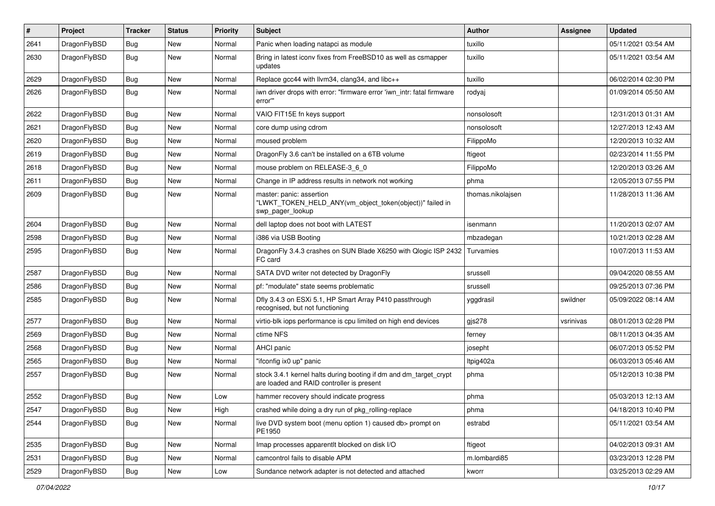| $\pmb{\#}$ | Project      | <b>Tracker</b> | <b>Status</b> | <b>Priority</b> | Subject                                                                                                        | <b>Author</b>     | Assignee  | <b>Updated</b>      |
|------------|--------------|----------------|---------------|-----------------|----------------------------------------------------------------------------------------------------------------|-------------------|-----------|---------------------|
| 2641       | DragonFlyBSD | Bug            | <b>New</b>    | Normal          | Panic when loading natapci as module                                                                           | tuxillo           |           | 05/11/2021 03:54 AM |
| 2630       | DragonFlyBSD | Bug            | New           | Normal          | Bring in latest iconv fixes from FreeBSD10 as well as csmapper<br>updates                                      | tuxillo           |           | 05/11/2021 03:54 AM |
| 2629       | DragonFlyBSD | Bug            | <b>New</b>    | Normal          | Replace gcc44 with llvm34, clang34, and libc++                                                                 | tuxillo           |           | 06/02/2014 02:30 PM |
| 2626       | DragonFlyBSD | Bug            | New           | Normal          | iwn driver drops with error: "firmware error 'iwn_intr: fatal firmware<br>error"                               | rodyaj            |           | 01/09/2014 05:50 AM |
| 2622       | DragonFlyBSD | Bug            | <b>New</b>    | Normal          | VAIO FIT15E fn keys support                                                                                    | nonsolosoft       |           | 12/31/2013 01:31 AM |
| 2621       | DragonFlyBSD | Bug            | <b>New</b>    | Normal          | core dump using cdrom                                                                                          | nonsolosoft       |           | 12/27/2013 12:43 AM |
| 2620       | DragonFlyBSD | Bug            | <b>New</b>    | Normal          | moused problem                                                                                                 | FilippoMo         |           | 12/20/2013 10:32 AM |
| 2619       | DragonFlyBSD | Bug            | <b>New</b>    | Normal          | DragonFly 3.6 can't be installed on a 6TB volume                                                               | ftigeot           |           | 02/23/2014 11:55 PM |
| 2618       | DragonFlyBSD | Bug            | <b>New</b>    | Normal          | mouse problem on RELEASE-3 6 0                                                                                 | FilippoMo         |           | 12/20/2013 03:26 AM |
| 2611       | DragonFlyBSD | Bug            | <b>New</b>    | Normal          | Change in IP address results in network not working                                                            | phma              |           | 12/05/2013 07:55 PM |
| 2609       | DragonFlyBSD | Bug            | New           | Normal          | master: panic: assertion<br>"LWKT_TOKEN_HELD_ANY(vm_object_token(object))" failed in<br>swp_pager_lookup       | thomas.nikolajsen |           | 11/28/2013 11:36 AM |
| 2604       | DragonFlyBSD | Bug            | <b>New</b>    | Normal          | dell laptop does not boot with LATEST                                                                          | isenmann          |           | 11/20/2013 02:07 AM |
| 2598       | DragonFlyBSD | Bug            | <b>New</b>    | Normal          | i386 via USB Booting                                                                                           | mbzadegan         |           | 10/21/2013 02:28 AM |
| 2595       | DragonFlyBSD | Bug            | <b>New</b>    | Normal          | DragonFly 3.4.3 crashes on SUN Blade X6250 with Qlogic ISP 2432<br>FC card                                     | Turvamies         |           | 10/07/2013 11:53 AM |
| 2587       | DragonFlyBSD | Bug            | <b>New</b>    | Normal          | SATA DVD writer not detected by DragonFly                                                                      | srussell          |           | 09/04/2020 08:55 AM |
| 2586       | DragonFlyBSD | Bug            | <b>New</b>    | Normal          | pf: "modulate" state seems problematic                                                                         | srussell          |           | 09/25/2013 07:36 PM |
| 2585       | DragonFlyBSD | Bug            | New           | Normal          | Dfly 3.4.3 on ESXi 5.1, HP Smart Array P410 passthrough<br>recognised, but not functioning                     | yggdrasil         | swildner  | 05/09/2022 08:14 AM |
| 2577       | DragonFlyBSD | Bug            | <b>New</b>    | Normal          | virtio-blk iops performance is cpu limited on high end devices                                                 | gjs278            | vsrinivas | 08/01/2013 02:28 PM |
| 2569       | DragonFlyBSD | Bug            | <b>New</b>    | Normal          | ctime NFS                                                                                                      | ferney            |           | 08/11/2013 04:35 AM |
| 2568       | DragonFlyBSD | Bug            | <b>New</b>    | Normal          | AHCI panic                                                                                                     | josepht           |           | 06/07/2013 05:52 PM |
| 2565       | DragonFlyBSD | Bug            | <b>New</b>    | Normal          | "ifconfig ix0 up" panic                                                                                        | Itpig402a         |           | 06/03/2013 05:46 AM |
| 2557       | DragonFlyBSD | Bug            | <b>New</b>    | Normal          | stock 3.4.1 kernel halts during booting if dm and dm_target_crypt<br>are loaded and RAID controller is present | phma              |           | 05/12/2013 10:38 PM |
| 2552       | DragonFlyBSD | Bug            | <b>New</b>    | Low             | hammer recovery should indicate progress                                                                       | phma              |           | 05/03/2013 12:13 AM |
| 2547       | DragonFlyBSD | <b>Bug</b>     | New           | High            | crashed while doing a dry run of pkg_rolling-replace                                                           | phma              |           | 04/18/2013 10:40 PM |
| 2544       | DragonFlyBSD | Bug            | New           | Normal          | live DVD system boot (menu option 1) caused db> prompt on<br>PE1950                                            | estrabd           |           | 05/11/2021 03:54 AM |
| 2535       | DragonFlyBSD | Bug            | New           | Normal          | Imap processes apparentlt blocked on disk I/O                                                                  | ftigeot           |           | 04/02/2013 09:31 AM |
| 2531       | DragonFlyBSD | Bug            | New           | Normal          | camcontrol fails to disable APM                                                                                | m.lombardi85      |           | 03/23/2013 12:28 PM |
| 2529       | DragonFlyBSD | Bug            | New           | Low             | Sundance network adapter is not detected and attached                                                          | kworr             |           | 03/25/2013 02:29 AM |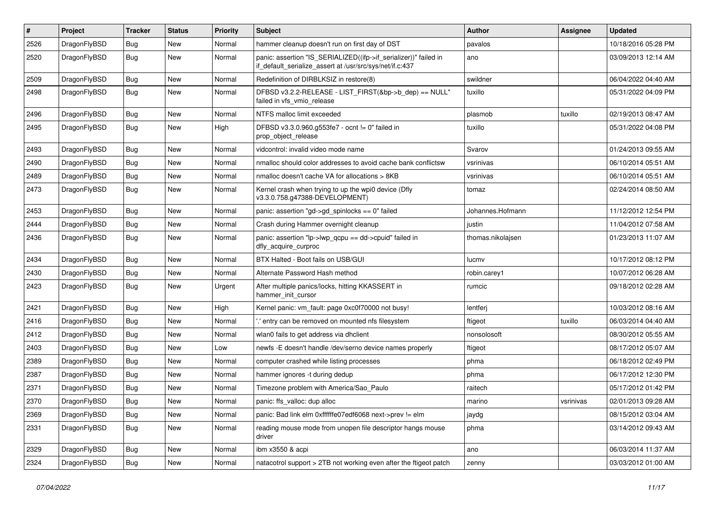| #    | Project      | <b>Tracker</b> | <b>Status</b> | <b>Priority</b> | Subject                                                                                                                      | <b>Author</b>     | Assignee  | <b>Updated</b>      |
|------|--------------|----------------|---------------|-----------------|------------------------------------------------------------------------------------------------------------------------------|-------------------|-----------|---------------------|
| 2526 | DragonFlyBSD | Bug            | <b>New</b>    | Normal          | hammer cleanup doesn't run on first day of DST                                                                               | pavalos           |           | 10/18/2016 05:28 PM |
| 2520 | DragonFlyBSD | <b>Bug</b>     | New           | Normal          | panic: assertion "IS_SERIALIZED((ifp->if_serializer))" failed in<br>if default serialize assert at /usr/src/sys/net/if.c:437 | ano               |           | 03/09/2013 12:14 AM |
| 2509 | DragonFlyBSD | Bug            | <b>New</b>    | Normal          | Redefinition of DIRBLKSIZ in restore(8)                                                                                      | swildner          |           | 06/04/2022 04:40 AM |
| 2498 | DragonFlyBSD | Bug            | <b>New</b>    | Normal          | DFBSD v3.2.2-RELEASE - LIST_FIRST(&bp->b_dep) == NULL"<br>failed in vfs vmio release                                         | tuxillo           |           | 05/31/2022 04:09 PM |
| 2496 | DragonFlyBSD | Bug            | <b>New</b>    | Normal          | NTFS malloc limit exceeded                                                                                                   | plasmob           | tuxillo   | 02/19/2013 08:47 AM |
| 2495 | DragonFlyBSD | Bug            | New           | High            | DFBSD v3.3.0.960.g553fe7 - ocnt != 0" failed in<br>prop_object_release                                                       | tuxillo           |           | 05/31/2022 04:08 PM |
| 2493 | DragonFlyBSD | Bug            | New           | Normal          | vidcontrol: invalid video mode name                                                                                          | Svarov            |           | 01/24/2013 09:55 AM |
| 2490 | DragonFlyBSD | <b>Bug</b>     | <b>New</b>    | Normal          | nmalloc should color addresses to avoid cache bank conflictsw                                                                | vsrinivas         |           | 06/10/2014 05:51 AM |
| 2489 | DragonFlyBSD | <b>Bug</b>     | New           | Normal          | nmalloc doesn't cache VA for allocations > 8KB                                                                               | vsrinivas         |           | 06/10/2014 05:51 AM |
| 2473 | DragonFlyBSD | Bug            | <b>New</b>    | Normal          | Kernel crash when trying to up the wpi0 device (Dfly<br>v3.3.0.758.g47388-DEVELOPMENT)                                       | tomaz             |           | 02/24/2014 08:50 AM |
| 2453 | DragonFlyBSD | Bug            | <b>New</b>    | Normal          | panic: assertion "gd->gd_spinlocks == 0" failed                                                                              | Johannes.Hofmann  |           | 11/12/2012 12:54 PM |
| 2444 | DragonFlyBSD | <b>Bug</b>     | New           | Normal          | Crash during Hammer overnight cleanup                                                                                        | justin            |           | 11/04/2012 07:58 AM |
| 2436 | DragonFlyBSD | Bug            | New           | Normal          | panic: assertion "lp->lwp_qcpu == dd->cpuid" failed in<br>dfly_acquire_curproc                                               | thomas.nikolajsen |           | 01/23/2013 11:07 AM |
| 2434 | DragonFlyBSD | Bug            | <b>New</b>    | Normal          | BTX Halted - Boot fails on USB/GUI                                                                                           | lucmv             |           | 10/17/2012 08:12 PM |
| 2430 | DragonFlyBSD | <b>Bug</b>     | <b>New</b>    | Normal          | Alternate Password Hash method                                                                                               | robin.carey1      |           | 10/07/2012 06:28 AM |
| 2423 | DragonFlyBSD | Bug            | <b>New</b>    | Urgent          | After multiple panics/locks, hitting KKASSERT in<br>hammer_init_cursor                                                       | rumcic            |           | 09/18/2012 02:28 AM |
| 2421 | DragonFlyBSD | Bug            | <b>New</b>    | High            | Kernel panic: vm_fault: page 0xc0f70000 not busy!                                                                            | lentferj          |           | 10/03/2012 08:16 AM |
| 2416 | DragonFlyBSD | <b>Bug</b>     | <b>New</b>    | Normal          | ' entry can be removed on mounted nfs filesystem                                                                             | ftigeot           | tuxillo   | 06/03/2014 04:40 AM |
| 2412 | DragonFlyBSD | <b>Bug</b>     | <b>New</b>    | Normal          | wlan0 fails to get address via dhclient                                                                                      | nonsolosoft       |           | 08/30/2012 05:55 AM |
| 2403 | DragonFlyBSD | Bug            | <b>New</b>    | Low             | newfs -E doesn't handle /dev/serno device names properly                                                                     | ftigeot           |           | 08/17/2012 05:07 AM |
| 2389 | DragonFlyBSD | <b>Bug</b>     | <b>New</b>    | Normal          | computer crashed while listing processes                                                                                     | phma              |           | 06/18/2012 02:49 PM |
| 2387 | DragonFlyBSD | <b>Bug</b>     | New           | Normal          | hammer ignores -t during dedup                                                                                               | phma              |           | 06/17/2012 12:30 PM |
| 2371 | DragonFlyBSD | <b>Bug</b>     | <b>New</b>    | Normal          | Timezone problem with America/Sao_Paulo                                                                                      | raitech           |           | 05/17/2012 01:42 PM |
| 2370 | DragonFlyBSD | Bug            | <b>New</b>    | Normal          | panic: ffs valloc: dup alloc                                                                                                 | marino            | vsrinivas | 02/01/2013 09:28 AM |
| 2369 | DragonFlyBSD | <b>Bug</b>     | New           | Normal          | panic: Bad link elm 0xffffffe07edf6068 next->prev != elm                                                                     | jaydg             |           | 08/15/2012 03:04 AM |
| 2331 | DragonFlyBSD | <b>Bug</b>     | New           | Normal          | reading mouse mode from unopen file descriptor hangs mouse<br>driver                                                         | phma              |           | 03/14/2012 09:43 AM |
| 2329 | DragonFlyBSD | <b>Bug</b>     | New           | Normal          | ibm x3550 & acpi                                                                                                             | ano               |           | 06/03/2014 11:37 AM |
| 2324 | DragonFlyBSD | Bug            | New           | Normal          | natacotrol support > 2TB not working even after the ftigeot patch                                                            | zenny             |           | 03/03/2012 01:00 AM |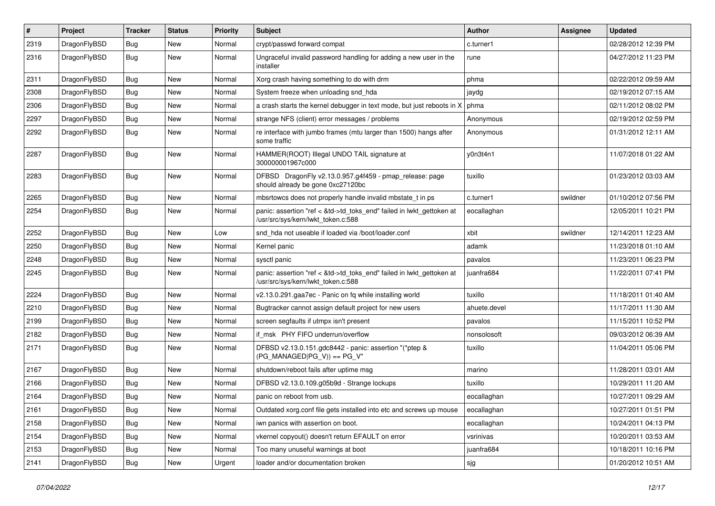| $\vert$ # | Project      | <b>Tracker</b> | <b>Status</b> | <b>Priority</b> | <b>Subject</b>                                                                                             | Author       | Assignee | <b>Updated</b>      |
|-----------|--------------|----------------|---------------|-----------------|------------------------------------------------------------------------------------------------------------|--------------|----------|---------------------|
| 2319      | DragonFlyBSD | Bug            | New           | Normal          | crypt/passwd forward compat                                                                                | c.turner1    |          | 02/28/2012 12:39 PM |
| 2316      | DragonFlyBSD | Bug            | New           | Normal          | Ungraceful invalid password handling for adding a new user in the<br>installer                             | rune         |          | 04/27/2012 11:23 PM |
| 2311      | DragonFlyBSD | <b>Bug</b>     | <b>New</b>    | Normal          | Xorg crash having something to do with drm                                                                 | phma         |          | 02/22/2012 09:59 AM |
| 2308      | DragonFlyBSD | <b>Bug</b>     | <b>New</b>    | Normal          | System freeze when unloading snd_hda                                                                       | jaydg        |          | 02/19/2012 07:15 AM |
| 2306      | DragonFlyBSD | <b>Bug</b>     | New           | Normal          | a crash starts the kernel debugger in text mode, but just reboots in X                                     | phma         |          | 02/11/2012 08:02 PM |
| 2297      | DragonFlyBSD | Bug            | <b>New</b>    | Normal          | strange NFS (client) error messages / problems                                                             | Anonymous    |          | 02/19/2012 02:59 PM |
| 2292      | DragonFlyBSD | Bug            | New           | Normal          | re interface with jumbo frames (mtu larger than 1500) hangs after<br>some traffic                          | Anonymous    |          | 01/31/2012 12:11 AM |
| 2287      | DragonFlyBSD | Bug            | New           | Normal          | HAMMER(ROOT) Illegal UNDO TAIL signature at<br>300000001967c000                                            | y0n3t4n1     |          | 11/07/2018 01:22 AM |
| 2283      | DragonFlyBSD | Bug            | New           | Normal          | DFBSD DragonFly v2.13.0.957.g4f459 - pmap_release: page<br>should already be gone 0xc27120bc               | tuxillo      |          | 01/23/2012 03:03 AM |
| 2265      | DragonFlyBSD | Bug            | <b>New</b>    | Normal          | mbsrtowcs does not properly handle invalid mbstate t in ps                                                 | c.turner1    | swildner | 01/10/2012 07:56 PM |
| 2254      | DragonFlyBSD | Bug            | New           | Normal          | panic: assertion "ref < &td->td_toks_end" failed in lwkt_gettoken at<br>/usr/src/sys/kern/lwkt_token.c:588 | eocallaghan  |          | 12/05/2011 10:21 PM |
| 2252      | DragonFlyBSD | Bug            | New           | Low             | snd hda not useable if loaded via /boot/loader.conf                                                        | xbit         | swildner | 12/14/2011 12:23 AM |
| 2250      | DragonFlyBSD | Bug            | <b>New</b>    | Normal          | Kernel panic                                                                                               | adamk        |          | 11/23/2018 01:10 AM |
| 2248      | DragonFlyBSD | <b>Bug</b>     | New           | Normal          | sysctl panic                                                                                               | pavalos      |          | 11/23/2011 06:23 PM |
| 2245      | DragonFlyBSD | Bug            | New           | Normal          | panic: assertion "ref < &td->td_toks_end" failed in lwkt_gettoken at<br>/usr/src/sys/kern/lwkt token.c:588 | juanfra684   |          | 11/22/2011 07:41 PM |
| 2224      | DragonFlyBSD | Bug            | <b>New</b>    | Normal          | v2.13.0.291.gaa7ec - Panic on fq while installing world                                                    | tuxillo      |          | 11/18/2011 01:40 AM |
| 2210      | DragonFlyBSD | Bug            | New           | Normal          | Bugtracker cannot assign default project for new users                                                     | ahuete.devel |          | 11/17/2011 11:30 AM |
| 2199      | DragonFlyBSD | Bug            | New           | Normal          | screen segfaults if utmpx isn't present                                                                    | pavalos      |          | 11/15/2011 10:52 PM |
| 2182      | DragonFlyBSD | Bug            | New           | Normal          | if msk PHY FIFO underrun/overflow                                                                          | nonsolosoft  |          | 09/03/2012 06:39 AM |
| 2171      | DragonFlyBSD | Bug            | New           | Normal          | DFBSD v2.13.0.151.gdc8442 - panic: assertion "(*ptep &<br>$(PG_MANAGED PG_V)$ == PG_V"                     | tuxillo      |          | 11/04/2011 05:06 PM |
| 2167      | DragonFlyBSD | Bug            | <b>New</b>    | Normal          | shutdown/reboot fails after uptime msg                                                                     | marino       |          | 11/28/2011 03:01 AM |
| 2166      | DragonFlyBSD | <b>Bug</b>     | <b>New</b>    | Normal          | DFBSD v2.13.0.109.g05b9d - Strange lockups                                                                 | tuxillo      |          | 10/29/2011 11:20 AM |
| 2164      | DragonFlyBSD | <b>Bug</b>     | New           | Normal          | panic on reboot from usb.                                                                                  | eocallaghan  |          | 10/27/2011 09:29 AM |
| 2161      | DragonFlyBSD | <b>Bug</b>     | New           | Normal          | Outdated xorg.conf file gets installed into etc and screws up mouse                                        | eocallaghan  |          | 10/27/2011 01:51 PM |
| 2158      | DragonFlyBSD | <b>Bug</b>     | New           | Normal          | iwn panics with assertion on boot.                                                                         | eocallaghan  |          | 10/24/2011 04:13 PM |
| 2154      | DragonFlyBSD | <b>Bug</b>     | New           | Normal          | vkernel copyout() doesn't return EFAULT on error                                                           | vsrinivas    |          | 10/20/2011 03:53 AM |
| 2153      | DragonFlyBSD | Bug            | New           | Normal          | Too many unuseful warnings at boot                                                                         | juanfra684   |          | 10/18/2011 10:16 PM |
| 2141      | DragonFlyBSD | <b>Bug</b>     | New           | Urgent          | loader and/or documentation broken                                                                         | sjg          |          | 01/20/2012 10:51 AM |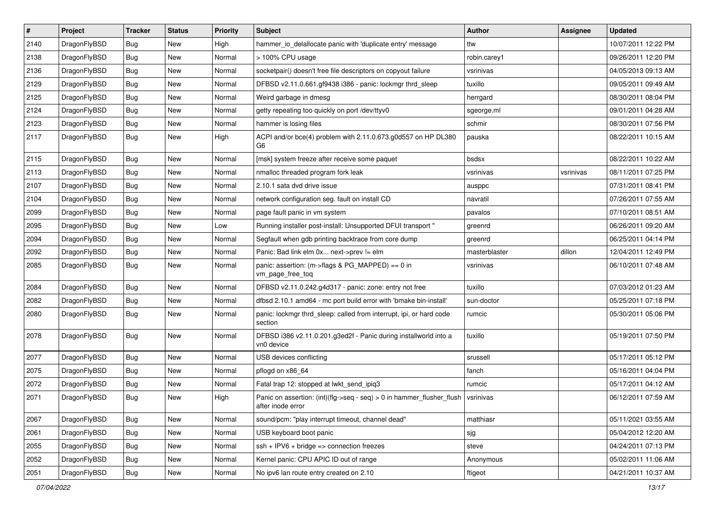| $\vert$ # | Project      | <b>Tracker</b> | <b>Status</b> | <b>Priority</b> | Subject                                                                                    | <b>Author</b> | Assignee  | <b>Updated</b>      |
|-----------|--------------|----------------|---------------|-----------------|--------------------------------------------------------------------------------------------|---------------|-----------|---------------------|
| 2140      | DragonFlyBSD | <b>Bug</b>     | New           | High            | hammer io delallocate panic with 'duplicate entry' message                                 | ttw           |           | 10/07/2011 12:22 PM |
| 2138      | DragonFlyBSD | <b>Bug</b>     | <b>New</b>    | Normal          | > 100% CPU usage                                                                           | robin.carey1  |           | 09/26/2011 12:20 PM |
| 2136      | DragonFlyBSD | Bug            | <b>New</b>    | Normal          | socketpair() doesn't free file descriptors on copyout failure                              | vsrinivas     |           | 04/05/2013 09:13 AM |
| 2129      | DragonFlyBSD | <b>Bug</b>     | New           | Normal          | DFBSD v2.11.0.661.gf9438 i386 - panic: lockmgr thrd_sleep                                  | tuxillo       |           | 09/05/2011 09:49 AM |
| 2125      | DragonFlyBSD | Bug            | <b>New</b>    | Normal          | Weird garbage in dmesg                                                                     | herrgard      |           | 08/30/2011 08:04 PM |
| 2124      | DragonFlyBSD | <b>Bug</b>     | New           | Normal          | getty repeating too quickly on port /dev/ttyv0                                             | sgeorge.ml    |           | 09/01/2011 04:28 AM |
| 2123      | DragonFlyBSD | <b>Bug</b>     | <b>New</b>    | Normal          | hammer is losing files                                                                     | schmir        |           | 08/30/2011 07:56 PM |
| 2117      | DragonFlyBSD | <b>Bug</b>     | New           | High            | ACPI and/or bce(4) problem with 2.11.0.673.g0d557 on HP DL380<br>G6                        | pauska        |           | 08/22/2011 10:15 AM |
| 2115      | DragonFlyBSD | Bug            | <b>New</b>    | Normal          | [msk] system freeze after receive some paquet                                              | bsdsx         |           | 08/22/2011 10:22 AM |
| 2113      | DragonFlyBSD | <b>Bug</b>     | <b>New</b>    | Normal          | nmalloc threaded program fork leak                                                         | vsrinivas     | vsrinivas | 08/11/2011 07:25 PM |
| 2107      | DragonFlyBSD | <b>Bug</b>     | New           | Normal          | 2.10.1 sata dvd drive issue                                                                | ausppc        |           | 07/31/2011 08:41 PM |
| 2104      | DragonFlyBSD | Bug            | New           | Normal          | network configuration seg. fault on install CD                                             | navratil      |           | 07/26/2011 07:55 AM |
| 2099      | DragonFlyBSD | <b>Bug</b>     | New           | Normal          | page fault panic in vm system                                                              | pavalos       |           | 07/10/2011 08:51 AM |
| 2095      | DragonFlyBSD | <b>Bug</b>     | New           | Low             | Running installer post-install: Unsupported DFUI transport "                               | greenrd       |           | 06/26/2011 09:20 AM |
| 2094      | DragonFlyBSD | <b>Bug</b>     | New           | Normal          | Segfault when gdb printing backtrace from core dump                                        | greenrd       |           | 06/25/2011 04:14 PM |
| 2092      | DragonFlyBSD | <b>Bug</b>     | New           | Normal          | Panic: Bad link elm 0x next->prev != elm                                                   | masterblaster | dillon    | 12/04/2011 12:49 PM |
| 2085      | DragonFlyBSD | Bug            | New           | Normal          | panic: assertion: (m->flags & PG_MAPPED) == 0 in<br>vm_page_free_toq                       | vsrinivas     |           | 06/10/2011 07:48 AM |
| 2084      | DragonFlyBSD | Bug            | New           | Normal          | DFBSD v2.11.0.242.g4d317 - panic: zone: entry not free                                     | tuxillo       |           | 07/03/2012 01:23 AM |
| 2082      | DragonFlyBSD | Bug            | <b>New</b>    | Normal          | dfbsd 2.10.1 amd64 - mc port build error with 'bmake bin-install'                          | sun-doctor    |           | 05/25/2011 07:18 PM |
| 2080      | DragonFlyBSD | <b>Bug</b>     | New           | Normal          | panic: lockmgr thrd sleep: called from interrupt, ipi, or hard code<br>section             | rumcic        |           | 05/30/2011 05:06 PM |
| 2078      | DragonFlyBSD | Bug            | <b>New</b>    | Normal          | DFBSD i386 v2.11.0.201.g3ed2f - Panic during installworld into a<br>vn0 device             | tuxillo       |           | 05/19/2011 07:50 PM |
| 2077      | DragonFlyBSD | Bug            | New           | Normal          | USB devices conflicting                                                                    | srussell      |           | 05/17/2011 05:12 PM |
| 2075      | DragonFlyBSD | <b>Bug</b>     | <b>New</b>    | Normal          | pflogd on x86 64                                                                           | fanch         |           | 05/16/2011 04:04 PM |
| 2072      | DragonFlyBSD | Bug            | New           | Normal          | Fatal trap 12: stopped at lwkt_send_ipiq3                                                  | rumcic        |           | 05/17/2011 04:12 AM |
| 2071      | DragonFlyBSD | Bug            | New           | High            | Panic on assertion: (int)(flg->seq - seq) > 0 in hammer_flusher_flush<br>after inode error | vsrinivas     |           | 06/12/2011 07:59 AM |
| 2067      | DragonFlyBSD | <b>Bug</b>     | <b>New</b>    | Normal          | sound/pcm: "play interrupt timeout, channel dead"                                          | matthiasr     |           | 05/11/2021 03:55 AM |
| 2061      | DragonFlyBSD | <b>Bug</b>     | New           | Normal          | USB keyboard boot panic                                                                    | sjg           |           | 05/04/2012 12:20 AM |
| 2055      | DragonFlyBSD | Bug            | New           | Normal          | $ssh + IPV6 + bridge \Rightarrow$ connection freezes                                       | steve         |           | 04/24/2011 07:13 PM |
| 2052      | DragonFlyBSD | <b>Bug</b>     | New           | Normal          | Kernel panic: CPU APIC ID out of range                                                     | Anonymous     |           | 05/02/2011 11:06 AM |
| 2051      | DragonFlyBSD | <b>Bug</b>     | New           | Normal          | No ipv6 lan route entry created on 2.10                                                    | ftigeot       |           | 04/21/2011 10:37 AM |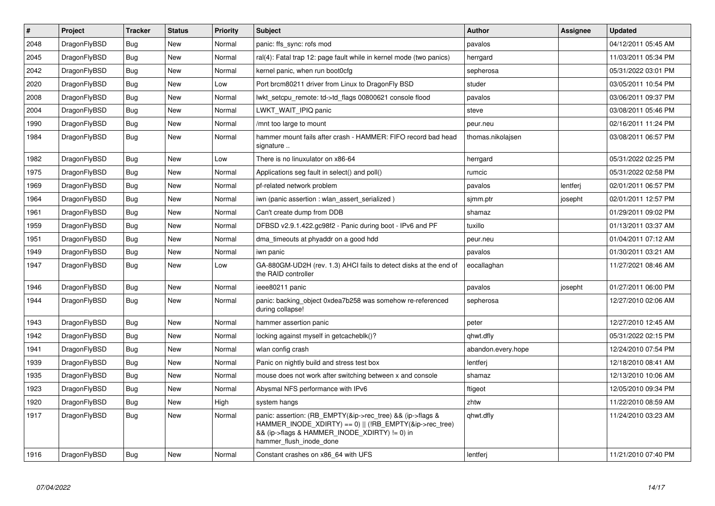| $\vert$ # | <b>Project</b> | <b>Tracker</b> | <b>Status</b> | Priority | <b>Subject</b>                                                                                                                                                                                    | <b>Author</b>      | Assignee | <b>Updated</b>      |
|-----------|----------------|----------------|---------------|----------|---------------------------------------------------------------------------------------------------------------------------------------------------------------------------------------------------|--------------------|----------|---------------------|
| 2048      | DragonFlyBSD   | Bug            | <b>New</b>    | Normal   | panic: ffs sync: rofs mod                                                                                                                                                                         | pavalos            |          | 04/12/2011 05:45 AM |
| 2045      | DragonFlyBSD   | Bug            | <b>New</b>    | Normal   | ral(4): Fatal trap 12: page fault while in kernel mode (two panics)                                                                                                                               | herrgard           |          | 11/03/2011 05:34 PM |
| 2042      | DragonFlyBSD   | Bug            | <b>New</b>    | Normal   | kernel panic, when run boot0cfg                                                                                                                                                                   | sepherosa          |          | 05/31/2022 03:01 PM |
| 2020      | DragonFlyBSD   | Bug            | New           | Low      | Port brcm80211 driver from Linux to DragonFly BSD                                                                                                                                                 | studer             |          | 03/05/2011 10:54 PM |
| 2008      | DragonFlyBSD   | <b>Bug</b>     | <b>New</b>    | Normal   | lwkt_setcpu_remote: td->td_flags 00800621 console flood                                                                                                                                           | pavalos            |          | 03/06/2011 09:37 PM |
| 2004      | DragonFlyBSD   | Bug            | New           | Normal   | LWKT WAIT IPIQ panic                                                                                                                                                                              | steve              |          | 03/08/2011 05:46 PM |
| 1990      | DragonFlyBSD   | Bug            | New           | Normal   | /mnt too large to mount                                                                                                                                                                           | peur.neu           |          | 02/16/2011 11:24 PM |
| 1984      | DragonFlyBSD   | Bug            | New           | Normal   | hammer mount fails after crash - HAMMER: FIFO record bad head<br>signature                                                                                                                        | thomas.nikolajsen  |          | 03/08/2011 06:57 PM |
| 1982      | DragonFlyBSD   | Bug            | New           | Low      | There is no linuxulator on x86-64                                                                                                                                                                 | herrgard           |          | 05/31/2022 02:25 PM |
| 1975      | DragonFlyBSD   | Bug            | New           | Normal   | Applications seg fault in select() and poll()                                                                                                                                                     | rumcic             |          | 05/31/2022 02:58 PM |
| 1969      | DragonFlyBSD   | <b>Bug</b>     | New           | Normal   | pf-related network problem                                                                                                                                                                        | pavalos            | lentferj | 02/01/2011 06:57 PM |
| 1964      | DragonFlyBSD   | <b>Bug</b>     | New           | Normal   | iwn (panic assertion : wlan_assert_serialized)                                                                                                                                                    | sjmm.ptr           | josepht  | 02/01/2011 12:57 PM |
| 1961      | DragonFlyBSD   | Bug            | New           | Normal   | Can't create dump from DDB                                                                                                                                                                        | shamaz             |          | 01/29/2011 09:02 PM |
| 1959      | DragonFlyBSD   | Bug            | <b>New</b>    | Normal   | DFBSD v2.9.1.422.gc98f2 - Panic during boot - IPv6 and PF                                                                                                                                         | tuxillo            |          | 01/13/2011 03:37 AM |
| 1951      | DragonFlyBSD   | <b>Bug</b>     | <b>New</b>    | Normal   | dma timeouts at phyaddr on a good hdd                                                                                                                                                             | peur.neu           |          | 01/04/2011 07:12 AM |
| 1949      | DragonFlyBSD   | <b>Bug</b>     | New           | Normal   | iwn panic                                                                                                                                                                                         | pavalos            |          | 01/30/2011 03:21 AM |
| 1947      | DragonFlyBSD   | <b>Bug</b>     | <b>New</b>    | Low      | GA-880GM-UD2H (rev. 1.3) AHCI fails to detect disks at the end of<br>the RAID controller                                                                                                          | eocallaghan        |          | 11/27/2021 08:46 AM |
| 1946      | DragonFlyBSD   | <b>Bug</b>     | <b>New</b>    | Normal   | ieee80211 panic                                                                                                                                                                                   | pavalos            | josepht  | 01/27/2011 06:00 PM |
| 1944      | DragonFlyBSD   | Bug            | <b>New</b>    | Normal   | panic: backing object 0xdea7b258 was somehow re-referenced<br>during collapse!                                                                                                                    | sepherosa          |          | 12/27/2010 02:06 AM |
| 1943      | DragonFlyBSD   | Bug            | <b>New</b>    | Normal   | hammer assertion panic                                                                                                                                                                            | peter              |          | 12/27/2010 12:45 AM |
| 1942      | DragonFlyBSD   | Bug            | <b>New</b>    | Normal   | locking against myself in getcacheblk()?                                                                                                                                                          | qhwt.dfly          |          | 05/31/2022 02:15 PM |
| 1941      | DragonFlyBSD   | Bug            | New           | Normal   | wlan config crash                                                                                                                                                                                 | abandon.every.hope |          | 12/24/2010 07:54 PM |
| 1939      | DragonFlyBSD   | <b>Bug</b>     | <b>New</b>    | Normal   | Panic on nightly build and stress test box                                                                                                                                                        | lentferi           |          | 12/18/2010 08:41 AM |
| 1935      | DragonFlyBSD   | Bug            | New           | Normal   | mouse does not work after switching between x and console                                                                                                                                         | shamaz             |          | 12/13/2010 10:06 AM |
| 1923      | DragonFlyBSD   | <b>Bug</b>     | <b>New</b>    | Normal   | Abysmal NFS performance with IPv6                                                                                                                                                                 | ftigeot            |          | 12/05/2010 09:34 PM |
| 1920      | DragonFlyBSD   | Bug            | <b>New</b>    | High     | system hangs                                                                                                                                                                                      | zhtw               |          | 11/22/2010 08:59 AM |
| 1917      | DragonFlyBSD   | <b>Bug</b>     | New           | Normal   | panic: assertion: (RB_EMPTY(&ip->rec_tree) && (ip->flags &<br>HAMMER_INODE_XDIRTY) == 0)    (!RB_EMPTY(&ip->rec_tree)<br>&& (ip->flags & HAMMER_INODE_XDIRTY) != 0) in<br>hammer flush inode done | qhwt.dfly          |          | 11/24/2010 03:23 AM |
| 1916      | DragonFlyBSD   | Bug            | <b>New</b>    | Normal   | Constant crashes on x86_64 with UFS                                                                                                                                                               | lentferj           |          | 11/21/2010 07:40 PM |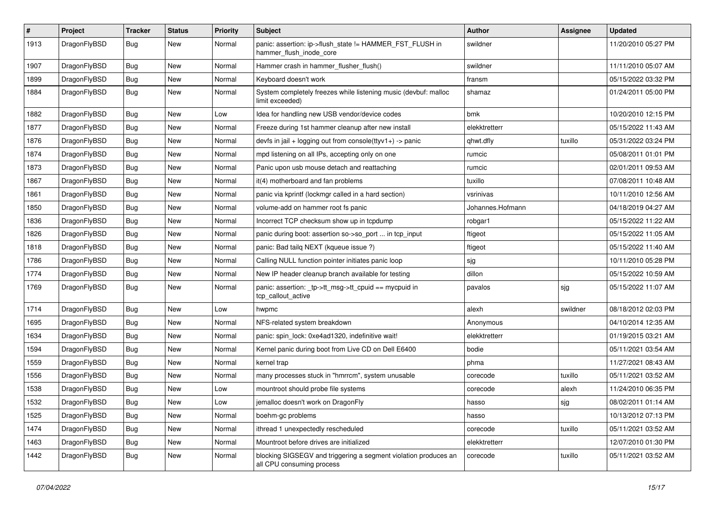| $\sharp$ | Project      | <b>Tracker</b> | <b>Status</b> | <b>Priority</b> | Subject                                                                                      | <b>Author</b>    | Assignee | <b>Updated</b>      |
|----------|--------------|----------------|---------------|-----------------|----------------------------------------------------------------------------------------------|------------------|----------|---------------------|
| 1913     | DragonFlyBSD | Bug            | New           | Normal          | panic: assertion: ip->flush_state != HAMMER_FST_FLUSH in<br>hammer flush inode core          | swildner         |          | 11/20/2010 05:27 PM |
| 1907     | DragonFlyBSD | <b>Bug</b>     | New           | Normal          | Hammer crash in hammer_flusher_flush()                                                       | swildner         |          | 11/11/2010 05:07 AM |
| 1899     | DragonFlyBSD | <b>Bug</b>     | <b>New</b>    | Normal          | Keyboard doesn't work                                                                        | fransm           |          | 05/15/2022 03:32 PM |
| 1884     | DragonFlyBSD | Bug            | New           | Normal          | System completely freezes while listening music (devbuf: malloc<br>limit exceeded)           | shamaz           |          | 01/24/2011 05:00 PM |
| 1882     | DragonFlyBSD | Bug            | <b>New</b>    | Low             | Idea for handling new USB vendor/device codes                                                | bmk              |          | 10/20/2010 12:15 PM |
| 1877     | DragonFlyBSD | <b>Bug</b>     | New           | Normal          | Freeze during 1st hammer cleanup after new install                                           | elekktretterr    |          | 05/15/2022 11:43 AM |
| 1876     | DragonFlyBSD | <b>Bug</b>     | New           | Normal          | devfs in jail + logging out from console(ttyv1+) -> panic                                    | qhwt.dfly        | tuxillo  | 05/31/2022 03:24 PM |
| 1874     | DragonFlyBSD | Bug            | <b>New</b>    | Normal          | mpd listening on all IPs, accepting only on one                                              | rumcic           |          | 05/08/2011 01:01 PM |
| 1873     | DragonFlyBSD | <b>Bug</b>     | New           | Normal          | Panic upon usb mouse detach and reattaching                                                  | rumcic           |          | 02/01/2011 09:53 AM |
| 1867     | DragonFlyBSD | <b>Bug</b>     | <b>New</b>    | Normal          | it(4) motherboard and fan problems                                                           | tuxillo          |          | 07/08/2011 10:48 AM |
| 1861     | DragonFlyBSD | Bug            | New           | Normal          | panic via kprintf (lockmgr called in a hard section)                                         | vsrinivas        |          | 10/11/2010 12:56 AM |
| 1850     | DragonFlyBSD | <b>Bug</b>     | <b>New</b>    | Normal          | volume-add on hammer root fs panic                                                           | Johannes.Hofmann |          | 04/18/2019 04:27 AM |
| 1836     | DragonFlyBSD | <b>Bug</b>     | <b>New</b>    | Normal          | Incorrect TCP checksum show up in tcpdump                                                    | robgar1          |          | 05/15/2022 11:22 AM |
| 1826     | DragonFlyBSD | <b>Bug</b>     | <b>New</b>    | Normal          | panic during boot: assertion so->so_port  in tcp_input                                       | ftigeot          |          | 05/15/2022 11:05 AM |
| 1818     | DragonFlyBSD | <b>Bug</b>     | <b>New</b>    | Normal          | panic: Bad tailg NEXT (kqueue issue ?)                                                       | ftigeot          |          | 05/15/2022 11:40 AM |
| 1786     | DragonFlyBSD | <b>Bug</b>     | New           | Normal          | Calling NULL function pointer initiates panic loop                                           | sjg              |          | 10/11/2010 05:28 PM |
| 1774     | DragonFlyBSD | <b>Bug</b>     | <b>New</b>    | Normal          | New IP header cleanup branch available for testing                                           | dillon           |          | 05/15/2022 10:59 AM |
| 1769     | DragonFlyBSD | <b>Bug</b>     | New           | Normal          | panic: assertion: _tp->tt_msg->tt_cpuid == mycpuid in<br>tcp_callout_active                  | pavalos          | sjg      | 05/15/2022 11:07 AM |
| 1714     | DragonFlyBSD | <b>Bug</b>     | <b>New</b>    | Low             | hwpmc                                                                                        | alexh            | swildner | 08/18/2012 02:03 PM |
| 1695     | DragonFlyBSD | <b>Bug</b>     | <b>New</b>    | Normal          | NFS-related system breakdown                                                                 | Anonymous        |          | 04/10/2014 12:35 AM |
| 1634     | DragonFlyBSD | <b>Bug</b>     | New           | Normal          | panic: spin lock: 0xe4ad1320, indefinitive wait!                                             | elekktretterr    |          | 01/19/2015 03:21 AM |
| 1594     | DragonFlyBSD | <b>Bug</b>     | New           | Normal          | Kernel panic during boot from Live CD on Dell E6400                                          | bodie            |          | 05/11/2021 03:54 AM |
| 1559     | DragonFlyBSD | <b>Bug</b>     | New           | Normal          | kernel trap                                                                                  | phma             |          | 11/27/2021 08:43 AM |
| 1556     | DragonFlyBSD | <b>Bug</b>     | <b>New</b>    | Normal          | many processes stuck in "hmrrcm", system unusable                                            | corecode         | tuxillo  | 05/11/2021 03:52 AM |
| 1538     | DragonFlyBSD | <b>Bug</b>     | New           | Low             | mountroot should probe file systems                                                          | corecode         | alexh    | 11/24/2010 06:35 PM |
| 1532     | DragonFlyBSD | Bug            | New           | Low             | jemalloc doesn't work on DragonFly                                                           | hasso            | sjg      | 08/02/2011 01:14 AM |
| 1525     | DragonFlyBSD | <b>Bug</b>     | <b>New</b>    | Normal          | boehm-gc problems                                                                            | hasso            |          | 10/13/2012 07:13 PM |
| 1474     | DragonFlyBSD | <b>Bug</b>     | <b>New</b>    | Normal          | ithread 1 unexpectedly rescheduled                                                           | corecode         | tuxillo  | 05/11/2021 03:52 AM |
| 1463     | DragonFlyBSD | <b>Bug</b>     | New           | Normal          | Mountroot before drives are initialized                                                      | elekktretterr    |          | 12/07/2010 01:30 PM |
| 1442     | DragonFlyBSD | <b>Bug</b>     | New           | Normal          | blocking SIGSEGV and triggering a segment violation produces an<br>all CPU consuming process | corecode         | tuxillo  | 05/11/2021 03:52 AM |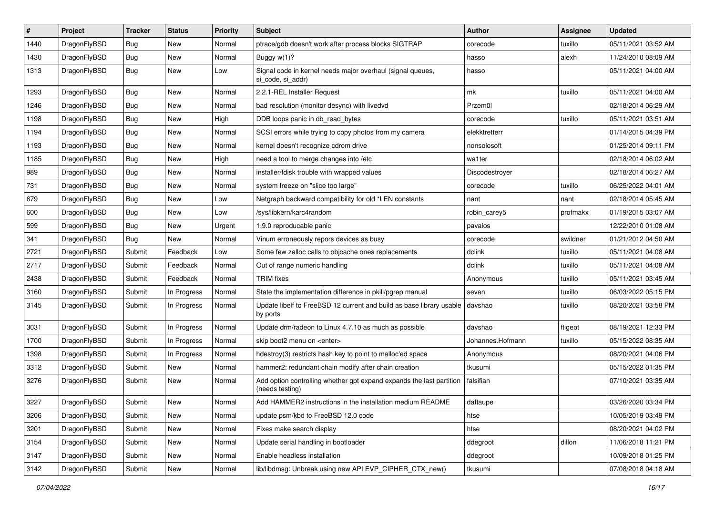| $\pmb{\#}$ | Project      | <b>Tracker</b> | <b>Status</b> | <b>Priority</b> | Subject                                                                                 | Author           | Assignee | <b>Updated</b>      |
|------------|--------------|----------------|---------------|-----------------|-----------------------------------------------------------------------------------------|------------------|----------|---------------------|
| 1440       | DragonFlyBSD | Bug            | <b>New</b>    | Normal          | ptrace/gdb doesn't work after process blocks SIGTRAP                                    | corecode         | tuxillo  | 05/11/2021 03:52 AM |
| 1430       | DragonFlyBSD | <b>Bug</b>     | <b>New</b>    | Normal          | Buggy w(1)?                                                                             | hasso            | alexh    | 11/24/2010 08:09 AM |
| 1313       | DragonFlyBSD | <b>Bug</b>     | New           | Low             | Signal code in kernel needs major overhaul (signal queues,<br>si code, si addr)         | hasso            |          | 05/11/2021 04:00 AM |
| 1293       | DragonFlyBSD | <b>Bug</b>     | <b>New</b>    | Normal          | 2.2.1-REL Installer Request                                                             | mk               | tuxillo  | 05/11/2021 04:00 AM |
| 1246       | DragonFlyBSD | <b>Bug</b>     | New           | Normal          | bad resolution (monitor desync) with livedvd                                            | Przem0l          |          | 02/18/2014 06:29 AM |
| 1198       | DragonFlyBSD | <b>Bug</b>     | <b>New</b>    | High            | DDB loops panic in db_read_bytes                                                        | corecode         | tuxillo  | 05/11/2021 03:51 AM |
| 1194       | DragonFlyBSD | <b>Bug</b>     | New           | Normal          | SCSI errors while trying to copy photos from my camera                                  | elekktretterr    |          | 01/14/2015 04:39 PM |
| 1193       | DragonFlyBSD | Bug            | New           | Normal          | kernel doesn't recognize cdrom drive                                                    | nonsolosoft      |          | 01/25/2014 09:11 PM |
| 1185       | DragonFlyBSD | Bug            | <b>New</b>    | High            | need a tool to merge changes into /etc                                                  | wa1ter           |          | 02/18/2014 06:02 AM |
| 989        | DragonFlyBSD | <b>Bug</b>     | New           | Normal          | installer/fdisk trouble with wrapped values                                             | Discodestroyer   |          | 02/18/2014 06:27 AM |
| 731        | DragonFlyBSD | Bug            | <b>New</b>    | Normal          | system freeze on "slice too large"                                                      | corecode         | tuxillo  | 06/25/2022 04:01 AM |
| 679        | DragonFlyBSD | <b>Bug</b>     | New           | Low             | Netgraph backward compatibility for old *LEN constants                                  | nant             | nant     | 02/18/2014 05:45 AM |
| 600        | DragonFlyBSD | Bug            | <b>New</b>    | Low             | /sys/libkern/karc4random                                                                | robin_carey5     | profmakx | 01/19/2015 03:07 AM |
| 599        | DragonFlyBSD | <b>Bug</b>     | New           | Urgent          | 1.9.0 reproducable panic                                                                | pavalos          |          | 12/22/2010 01:08 AM |
| 341        | DragonFlyBSD | <b>Bug</b>     | New           | Normal          | Vinum erroneously repors devices as busy                                                | corecode         | swildner | 01/21/2012 04:50 AM |
| 2721       | DragonFlyBSD | Submit         | Feedback      | Low             | Some few zalloc calls to objcache ones replacements                                     | dclink           | tuxillo  | 05/11/2021 04:08 AM |
| 2717       | DragonFlyBSD | Submit         | Feedback      | Normal          | Out of range numeric handling                                                           | dclink           | tuxillo  | 05/11/2021 04:08 AM |
| 2438       | DragonFlyBSD | Submit         | Feedback      | Normal          | <b>TRIM</b> fixes                                                                       | Anonymous        | tuxillo  | 05/11/2021 03:45 AM |
| 3160       | DragonFlyBSD | Submit         | In Progress   | Normal          | State the implementation difference in pkill/pgrep manual                               | sevan            | tuxillo  | 06/03/2022 05:15 PM |
| 3145       | DragonFlyBSD | Submit         | In Progress   | Normal          | Update libelf to FreeBSD 12 current and build as base library usable<br>by ports        | davshao          | tuxillo  | 08/20/2021 03:58 PM |
| 3031       | DragonFlyBSD | Submit         | In Progress   | Normal          | Update drm/radeon to Linux 4.7.10 as much as possible                                   | davshao          | ftigeot  | 08/19/2021 12:33 PM |
| 1700       | DragonFlyBSD | Submit         | In Progress   | Normal          | skip boot2 menu on <enter></enter>                                                      | Johannes.Hofmann | tuxillo  | 05/15/2022 08:35 AM |
| 1398       | DragonFlyBSD | Submit         | In Progress   | Normal          | hdestroy(3) restricts hash key to point to malloc'ed space                              | Anonymous        |          | 08/20/2021 04:06 PM |
| 3312       | DragonFlyBSD | Submit         | New           | Normal          | hammer2: redundant chain modify after chain creation                                    | tkusumi          |          | 05/15/2022 01:35 PM |
| 3276       | DragonFlyBSD | Submit         | New           | Normal          | Add option controlling whether gpt expand expands the last partition<br>(needs testing) | falsifian        |          | 07/10/2021 03:35 AM |
| 3227       | DragonFlyBSD | Submit         | New           | Normal          | Add HAMMER2 instructions in the installation medium README                              | daftaupe         |          | 03/26/2020 03:34 PM |
| 3206       | DragonFlyBSD | Submit         | New           | Normal          | update psm/kbd to FreeBSD 12.0 code                                                     | htse             |          | 10/05/2019 03:49 PM |
| 3201       | DragonFlyBSD | Submit         | New           | Normal          | Fixes make search display                                                               | htse             |          | 08/20/2021 04:02 PM |
| 3154       | DragonFlyBSD | Submit         | New           | Normal          | Update serial handling in bootloader                                                    | ddegroot         | dillon   | 11/06/2018 11:21 PM |
| 3147       | DragonFlyBSD | Submit         | New           | Normal          | Enable headless installation                                                            | ddegroot         |          | 10/09/2018 01:25 PM |
| 3142       | DragonFlyBSD | Submit         | New           | Normal          | lib/libdmsg: Unbreak using new API EVP_CIPHER_CTX_new()                                 | tkusumi          |          | 07/08/2018 04:18 AM |